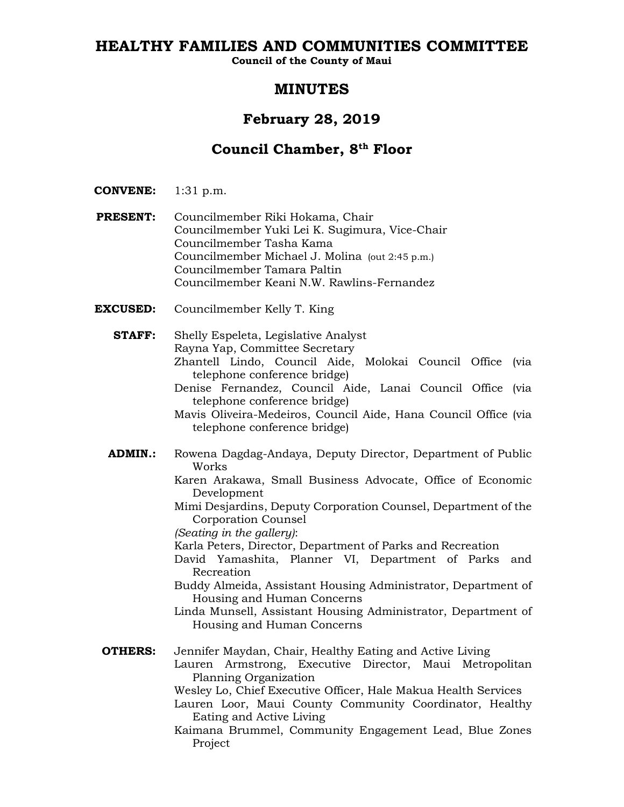# **HEALTHY FAMILIES AND COMMUNITIES COMMITTEE**

**Council of the County of Maui**

# **MINUTES**

# **February 28, 2019**

# **Council Chamber, 8th Floor**

- **CONVENE:** 1:31 p.m.
- **PRESENT:** Councilmember Riki Hokama, Chair Councilmember Yuki Lei K. Sugimura, Vice-Chair Councilmember Tasha Kama Councilmember Michael J. Molina (out 2:45 p.m.) Councilmember Tamara Paltin Councilmember Keani N.W. Rawlins-Fernandez
- **EXCUSED:** Councilmember Kelly T. King
	- **STAFF:** Shelly Espeleta, Legislative Analyst Rayna Yap, Committee Secretary Zhantell Lindo, Council Aide, Molokai Council Office (via telephone conference bridge)
		- Denise Fernandez, Council Aide, Lanai Council Office (via telephone conference bridge)
		- Mavis Oliveira-Medeiros, Council Aide, Hana Council Office (via telephone conference bridge)
	- **ADMIN.:** Rowena Dagdag-Andaya, Deputy Director, Department of Public Works
		- Karen Arakawa, Small Business Advocate, Office of Economic Development
		- Mimi Desjardins, Deputy Corporation Counsel, Department of the Corporation Counsel
		- *(Seating in the gallery)*:
		- Karla Peters, Director, Department of Parks and Recreation
		- David Yamashita, Planner VI, Department of Parks and Recreation
		- Buddy Almeida, Assistant Housing Administrator, Department of Housing and Human Concerns
		- Linda Munsell, Assistant Housing Administrator, Department of Housing and Human Concerns
	- **OTHERS:** Jennifer Maydan, Chair, Healthy Eating and Active Living Lauren Armstrong, Executive Director, Maui Metropolitan Planning Organization
		- Wesley Lo, Chief Executive Officer, Hale Makua Health Services
		- Lauren Loor, Maui County Community Coordinator, Healthy Eating and Active Living
		- Kaimana Brummel, Community Engagement Lead, Blue Zones Project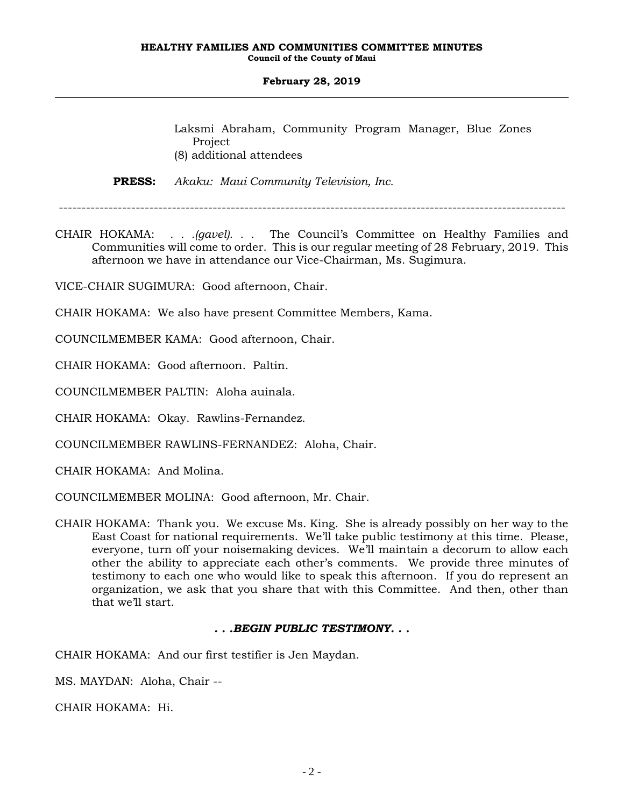Laksmi Abraham, Community Program Manager, Blue Zones Project (8) additional attendees

**PRESS:** *Akaku: Maui Community Television, Inc.*

CHAIR HOKAMA: *. . .(gavel). . .* The Council's Committee on Healthy Families and Communities will come to order. This is our regular meeting of 28 February, 2019. This afternoon we have in attendance our Vice-Chairman, Ms. Sugimura.

VICE-CHAIR SUGIMURA: Good afternoon, Chair.

CHAIR HOKAMA: We also have present Committee Members, Kama.

COUNCILMEMBER KAMA: Good afternoon, Chair.

CHAIR HOKAMA: Good afternoon. Paltin.

COUNCILMEMBER PALTIN: Aloha auinala.

CHAIR HOKAMA: Okay. Rawlins-Fernandez.

COUNCILMEMBER RAWLINS-FERNANDEZ: Aloha, Chair.

CHAIR HOKAMA: And Molina.

COUNCILMEMBER MOLINA: Good afternoon, Mr. Chair.

CHAIR HOKAMA: Thank you. We excuse Ms. King. She is already possibly on her way to the East Coast for national requirements. We'll take public testimony at this time. Please, everyone, turn off your noisemaking devices. We'll maintain a decorum to allow each other the ability to appreciate each other's comments. We provide three minutes of testimony to each one who would like to speak this afternoon. If you do represent an organization, we ask that you share that with this Committee. And then, other than that we'll start.

# *. . .BEGIN PUBLIC TESTIMONY. . .*

CHAIR HOKAMA: And our first testifier is Jen Maydan.

MS. MAYDAN: Aloha, Chair --

CHAIR HOKAMA: Hi.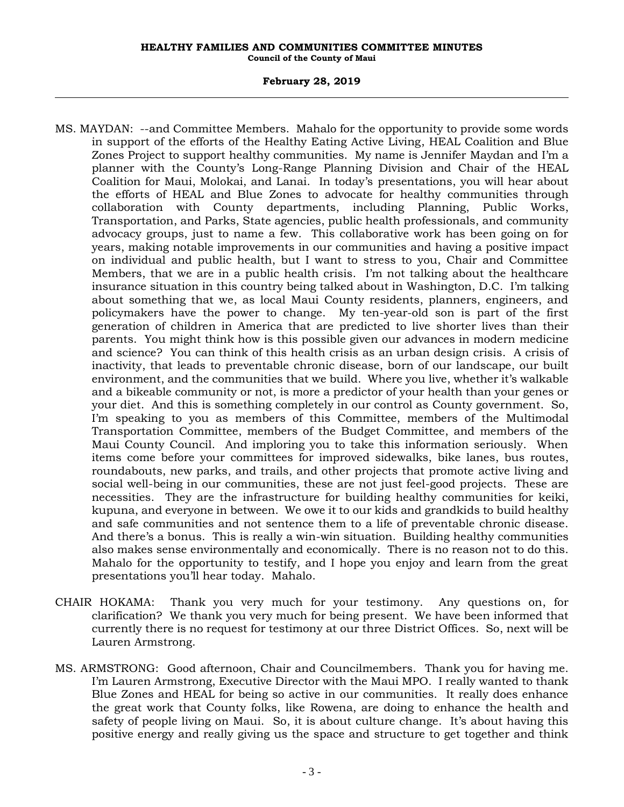- MS. MAYDAN: --and Committee Members. Mahalo for the opportunity to provide some words in support of the efforts of the Healthy Eating Active Living, HEAL Coalition and Blue Zones Project to support healthy communities. My name is Jennifer Maydan and I'm a planner with the County's Long-Range Planning Division and Chair of the HEAL Coalition for Maui, Molokai, and Lanai. In today's presentations, you will hear about the efforts of HEAL and Blue Zones to advocate for healthy communities through collaboration with County departments, including Planning, Public Works, Transportation, and Parks, State agencies, public health professionals, and community advocacy groups, just to name a few. This collaborative work has been going on for years, making notable improvements in our communities and having a positive impact on individual and public health, but I want to stress to you, Chair and Committee Members, that we are in a public health crisis. I'm not talking about the healthcare insurance situation in this country being talked about in Washington, D.C. I'm talking about something that we, as local Maui County residents, planners, engineers, and policymakers have the power to change. My ten-year-old son is part of the first generation of children in America that are predicted to live shorter lives than their parents. You might think how is this possible given our advances in modern medicine and science? You can think of this health crisis as an urban design crisis. A crisis of inactivity, that leads to preventable chronic disease, born of our landscape, our built environment, and the communities that we build. Where you live, whether it's walkable and a bikeable community or not, is more a predictor of your health than your genes or your diet. And this is something completely in our control as County government. So, I'm speaking to you as members of this Committee, members of the Multimodal Transportation Committee, members of the Budget Committee, and members of the Maui County Council. And imploring you to take this information seriously. When items come before your committees for improved sidewalks, bike lanes, bus routes, roundabouts, new parks, and trails, and other projects that promote active living and social well-being in our communities, these are not just feel-good projects. These are necessities. They are the infrastructure for building healthy communities for keiki, kupuna, and everyone in between. We owe it to our kids and grandkids to build healthy and safe communities and not sentence them to a life of preventable chronic disease. And there's a bonus. This is really a win-win situation. Building healthy communities also makes sense environmentally and economically. There is no reason not to do this. Mahalo for the opportunity to testify, and I hope you enjoy and learn from the great presentations you'll hear today. Mahalo.
- CHAIR HOKAMA: Thank you very much for your testimony. Any questions on, for clarification? We thank you very much for being present. We have been informed that currently there is no request for testimony at our three District Offices. So, next will be Lauren Armstrong.
- MS. ARMSTRONG: Good afternoon, Chair and Councilmembers. Thank you for having me. I'm Lauren Armstrong, Executive Director with the Maui MPO. I really wanted to thank Blue Zones and HEAL for being so active in our communities. It really does enhance the great work that County folks, like Rowena, are doing to enhance the health and safety of people living on Maui. So, it is about culture change. It's about having this positive energy and really giving us the space and structure to get together and think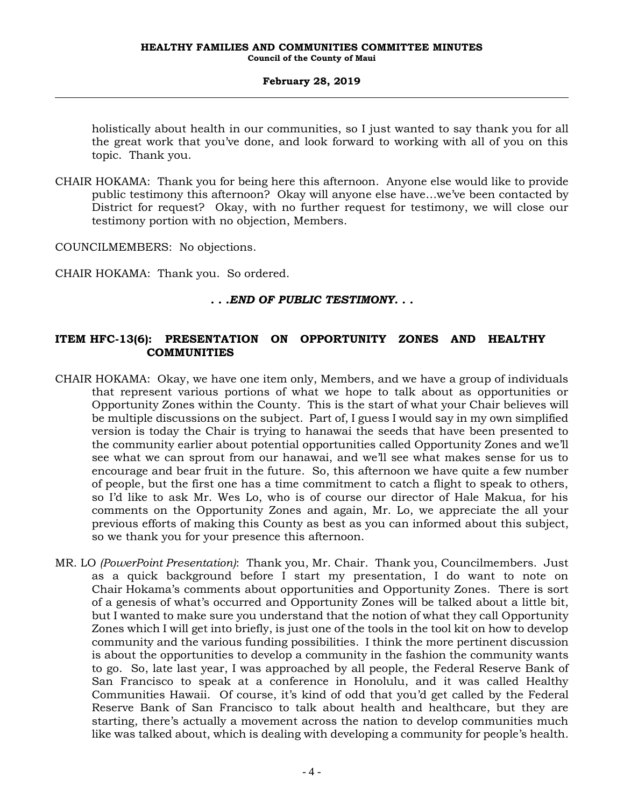holistically about health in our communities, so I just wanted to say thank you for all the great work that you've done, and look forward to working with all of you on this topic. Thank you.

CHAIR HOKAMA: Thank you for being here this afternoon. Anyone else would like to provide public testimony this afternoon? Okay will anyone else have…we've been contacted by District for request? Okay, with no further request for testimony, we will close our testimony portion with no objection, Members.

COUNCILMEMBERS: No objections.

CHAIR HOKAMA: Thank you. So ordered.

# *. . .END OF PUBLIC TESTIMONY. . .*

# **ITEM HFC-13(6): PRESENTATION ON OPPORTUNITY ZONES AND HEALTHY COMMUNITIES**

- CHAIR HOKAMA: Okay, we have one item only, Members, and we have a group of individuals that represent various portions of what we hope to talk about as opportunities or Opportunity Zones within the County. This is the start of what your Chair believes will be multiple discussions on the subject. Part of, I guess I would say in my own simplified version is today the Chair is trying to hanawai the seeds that have been presented to the community earlier about potential opportunities called Opportunity Zones and we'll see what we can sprout from our hanawai, and we'll see what makes sense for us to encourage and bear fruit in the future. So, this afternoon we have quite a few number of people, but the first one has a time commitment to catch a flight to speak to others, so I'd like to ask Mr. Wes Lo, who is of course our director of Hale Makua, for his comments on the Opportunity Zones and again, Mr. Lo, we appreciate the all your previous efforts of making this County as best as you can informed about this subject, so we thank you for your presence this afternoon.
- MR. LO *(PowerPoint Presentation)*: Thank you, Mr. Chair. Thank you, Councilmembers. Just as a quick background before I start my presentation, I do want to note on Chair Hokama's comments about opportunities and Opportunity Zones. There is sort of a genesis of what's occurred and Opportunity Zones will be talked about a little bit, but I wanted to make sure you understand that the notion of what they call Opportunity Zones which I will get into briefly, is just one of the tools in the tool kit on how to develop community and the various funding possibilities. I think the more pertinent discussion is about the opportunities to develop a community in the fashion the community wants to go. So, late last year, I was approached by all people, the Federal Reserve Bank of San Francisco to speak at a conference in Honolulu, and it was called Healthy Communities Hawaii. Of course, it's kind of odd that you'd get called by the Federal Reserve Bank of San Francisco to talk about health and healthcare, but they are starting, there's actually a movement across the nation to develop communities much like was talked about, which is dealing with developing a community for people's health.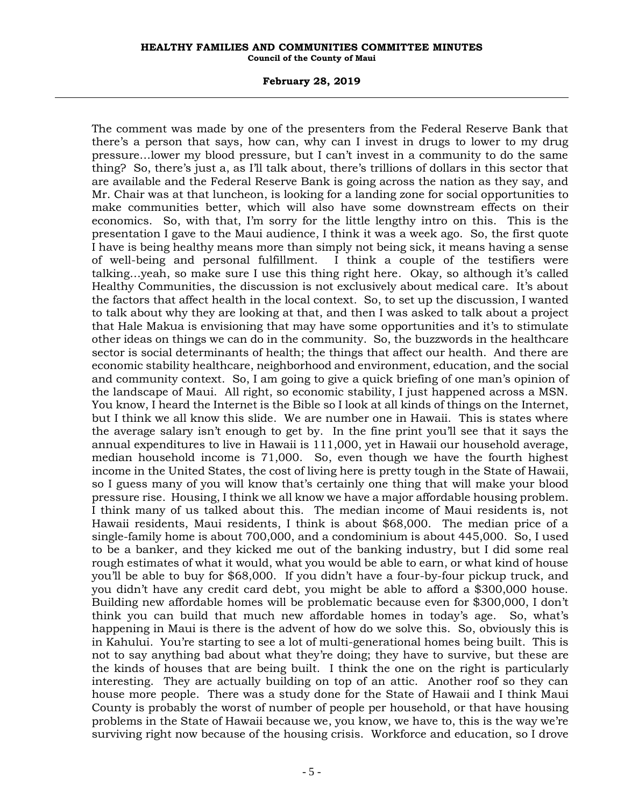#### **February 28, 2019**

The comment was made by one of the presenters from the Federal Reserve Bank that there's a person that says, how can, why can I invest in drugs to lower to my drug pressure…lower my blood pressure, but I can't invest in a community to do the same thing? So, there's just a, as I'll talk about, there's trillions of dollars in this sector that are available and the Federal Reserve Bank is going across the nation as they say, and Mr. Chair was at that luncheon, is looking for a landing zone for social opportunities to make communities better, which will also have some downstream effects on their economics. So, with that, I'm sorry for the little lengthy intro on this. This is the presentation I gave to the Maui audience, I think it was a week ago. So, the first quote I have is being healthy means more than simply not being sick, it means having a sense of well-being and personal fulfillment. I think a couple of the testifiers were talking…yeah, so make sure I use this thing right here. Okay, so although it's called Healthy Communities, the discussion is not exclusively about medical care. It's about the factors that affect health in the local context. So, to set up the discussion, I wanted to talk about why they are looking at that, and then I was asked to talk about a project that Hale Makua is envisioning that may have some opportunities and it's to stimulate other ideas on things we can do in the community. So, the buzzwords in the healthcare sector is social determinants of health; the things that affect our health. And there are economic stability healthcare, neighborhood and environment, education, and the social and community context. So, I am going to give a quick briefing of one man's opinion of the landscape of Maui. All right, so economic stability, I just happened across a MSN. You know, I heard the Internet is the Bible so I look at all kinds of things on the Internet, but I think we all know this slide. We are number one in Hawaii. This is states where the average salary isn't enough to get by. In the fine print you'll see that it says the annual expenditures to live in Hawaii is 111,000, yet in Hawaii our household average, median household income is 71,000. So, even though we have the fourth highest income in the United States, the cost of living here is pretty tough in the State of Hawaii, so I guess many of you will know that's certainly one thing that will make your blood pressure rise. Housing, I think we all know we have a major affordable housing problem. I think many of us talked about this. The median income of Maui residents is, not Hawaii residents, Maui residents, I think is about \$68,000. The median price of a single-family home is about 700,000, and a condominium is about 445,000. So, I used to be a banker, and they kicked me out of the banking industry, but I did some real rough estimates of what it would, what you would be able to earn, or what kind of house you'll be able to buy for \$68,000. If you didn't have a four-by-four pickup truck, and you didn't have any credit card debt, you might be able to afford a \$300,000 house. Building new affordable homes will be problematic because even for \$300,000, I don't think you can build that much new affordable homes in today's age. So, what's happening in Maui is there is the advent of how do we solve this. So, obviously this is in Kahului. You're starting to see a lot of multi-generational homes being built. This is not to say anything bad about what they're doing; they have to survive, but these are the kinds of houses that are being built. I think the one on the right is particularly interesting. They are actually building on top of an attic. Another roof so they can house more people. There was a study done for the State of Hawaii and I think Maui County is probably the worst of number of people per household, or that have housing problems in the State of Hawaii because we, you know, we have to, this is the way we're surviving right now because of the housing crisis. Workforce and education, so I drove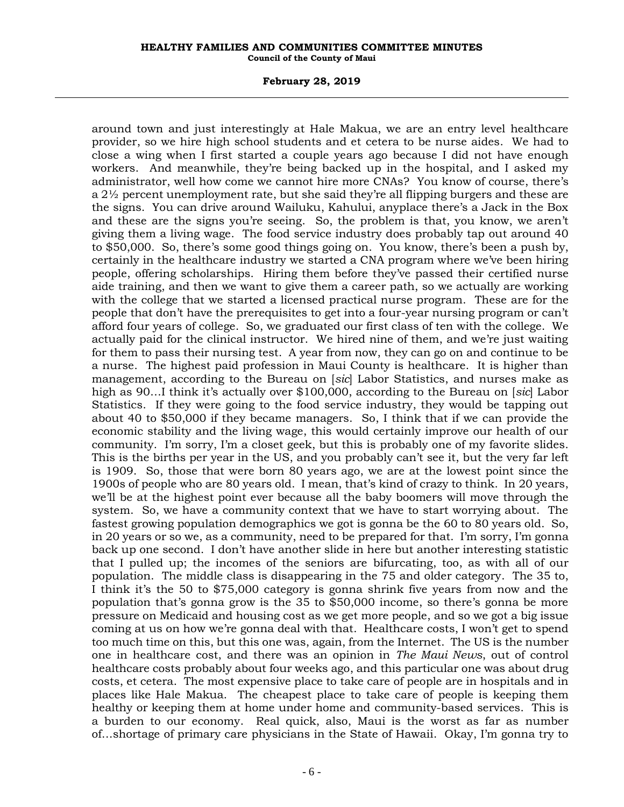#### **February 28, 2019**

around town and just interestingly at Hale Makua, we are an entry level healthcare provider, so we hire high school students and et cetera to be nurse aides. We had to close a wing when I first started a couple years ago because I did not have enough workers. And meanwhile, they're being backed up in the hospital, and I asked my administrator, well how come we cannot hire more CNAs? You know of course, there's a 2½ percent unemployment rate, but she said they're all flipping burgers and these are the signs. You can drive around Wailuku, Kahului, anyplace there's a Jack in the Box and these are the signs you're seeing. So, the problem is that, you know, we aren't giving them a living wage. The food service industry does probably tap out around 40 to \$50,000. So, there's some good things going on. You know, there's been a push by, certainly in the healthcare industry we started a CNA program where we've been hiring people, offering scholarships. Hiring them before they've passed their certified nurse aide training, and then we want to give them a career path, so we actually are working with the college that we started a licensed practical nurse program. These are for the people that don't have the prerequisites to get into a four-year nursing program or can't afford four years of college. So, we graduated our first class of ten with the college. We actually paid for the clinical instructor. We hired nine of them, and we're just waiting for them to pass their nursing test. A year from now, they can go on and continue to be a nurse. The highest paid profession in Maui County is healthcare. It is higher than management, according to the Bureau on [*sic*] Labor Statistics, and nurses make as high as 90…I think it's actually over \$100,000, according to the Bureau on [*sic*] Labor Statistics. If they were going to the food service industry, they would be tapping out about 40 to \$50,000 if they became managers. So, I think that if we can provide the economic stability and the living wage, this would certainly improve our health of our community. I'm sorry, I'm a closet geek, but this is probably one of my favorite slides. This is the births per year in the US, and you probably can't see it, but the very far left is 1909. So, those that were born 80 years ago, we are at the lowest point since the 1900s of people who are 80 years old. I mean, that's kind of crazy to think. In 20 years, we'll be at the highest point ever because all the baby boomers will move through the system. So, we have a community context that we have to start worrying about. The fastest growing population demographics we got is gonna be the 60 to 80 years old. So, in 20 years or so we, as a community, need to be prepared for that. I'm sorry, I'm gonna back up one second. I don't have another slide in here but another interesting statistic that I pulled up; the incomes of the seniors are bifurcating, too, as with all of our population. The middle class is disappearing in the 75 and older category. The 35 to, I think it's the 50 to \$75,000 category is gonna shrink five years from now and the population that's gonna grow is the 35 to \$50,000 income, so there's gonna be more pressure on Medicaid and housing cost as we get more people, and so we got a big issue coming at us on how we're gonna deal with that. Healthcare costs, I won't get to spend too much time on this, but this one was, again, from the Internet. The US is the number one in healthcare cost, and there was an opinion in *The Maui News*, out of control healthcare costs probably about four weeks ago, and this particular one was about drug costs, et cetera. The most expensive place to take care of people are in hospitals and in places like Hale Makua. The cheapest place to take care of people is keeping them healthy or keeping them at home under home and community-based services. This is a burden to our economy. Real quick, also, Maui is the worst as far as number of…shortage of primary care physicians in the State of Hawaii. Okay, I'm gonna try to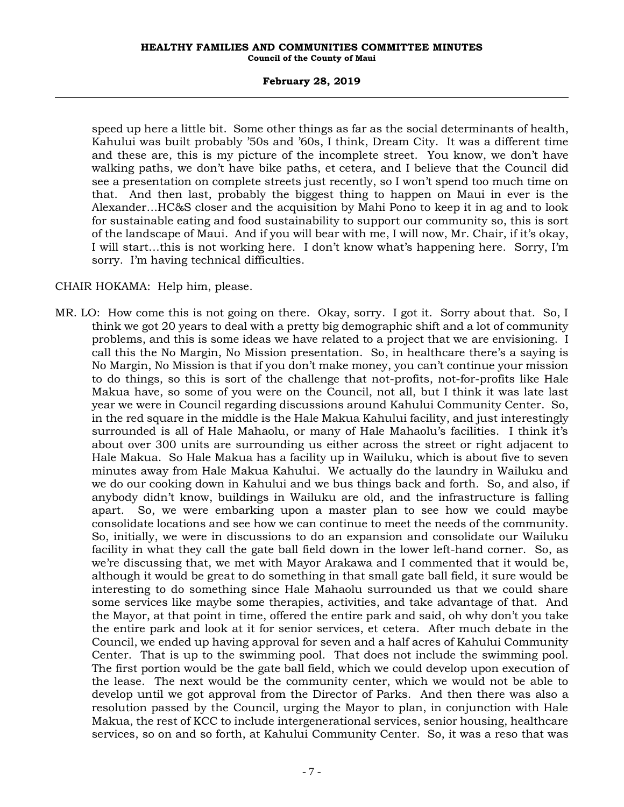### **February 28, 2019**

speed up here a little bit. Some other things as far as the social determinants of health, Kahului was built probably '50s and '60s, I think, Dream City. It was a different time and these are, this is my picture of the incomplete street. You know, we don't have walking paths, we don't have bike paths, et cetera, and I believe that the Council did see a presentation on complete streets just recently, so I won't spend too much time on that. And then last, probably the biggest thing to happen on Maui in ever is the Alexander…HC&S closer and the acquisition by Mahi Pono to keep it in ag and to look for sustainable eating and food sustainability to support our community so, this is sort of the landscape of Maui. And if you will bear with me, I will now, Mr. Chair, if it's okay, I will start…this is not working here. I don't know what's happening here. Sorry, I'm sorry. I'm having technical difficulties.

### CHAIR HOKAMA: Help him, please.

MR. LO: How come this is not going on there. Okay, sorry. I got it. Sorry about that. So, I think we got 20 years to deal with a pretty big demographic shift and a lot of community problems, and this is some ideas we have related to a project that we are envisioning. I call this the No Margin, No Mission presentation. So, in healthcare there's a saying is No Margin, No Mission is that if you don't make money, you can't continue your mission to do things, so this is sort of the challenge that not-profits, not-for-profits like Hale Makua have, so some of you were on the Council, not all, but I think it was late last year we were in Council regarding discussions around Kahului Community Center. So, in the red square in the middle is the Hale Makua Kahului facility, and just interestingly surrounded is all of Hale Mahaolu, or many of Hale Mahaolu's facilities. I think it's about over 300 units are surrounding us either across the street or right adjacent to Hale Makua. So Hale Makua has a facility up in Wailuku, which is about five to seven minutes away from Hale Makua Kahului. We actually do the laundry in Wailuku and we do our cooking down in Kahului and we bus things back and forth. So, and also, if anybody didn't know, buildings in Wailuku are old, and the infrastructure is falling apart. So, we were embarking upon a master plan to see how we could maybe consolidate locations and see how we can continue to meet the needs of the community. So, initially, we were in discussions to do an expansion and consolidate our Wailuku facility in what they call the gate ball field down in the lower left-hand corner. So, as we're discussing that, we met with Mayor Arakawa and I commented that it would be, although it would be great to do something in that small gate ball field, it sure would be interesting to do something since Hale Mahaolu surrounded us that we could share some services like maybe some therapies, activities, and take advantage of that. And the Mayor, at that point in time, offered the entire park and said, oh why don't you take the entire park and look at it for senior services, et cetera. After much debate in the Council, we ended up having approval for seven and a half acres of Kahului Community Center. That is up to the swimming pool. That does not include the swimming pool. The first portion would be the gate ball field, which we could develop upon execution of the lease. The next would be the community center, which we would not be able to develop until we got approval from the Director of Parks. And then there was also a resolution passed by the Council, urging the Mayor to plan, in conjunction with Hale Makua, the rest of KCC to include intergenerational services, senior housing, healthcare services, so on and so forth, at Kahului Community Center. So, it was a reso that was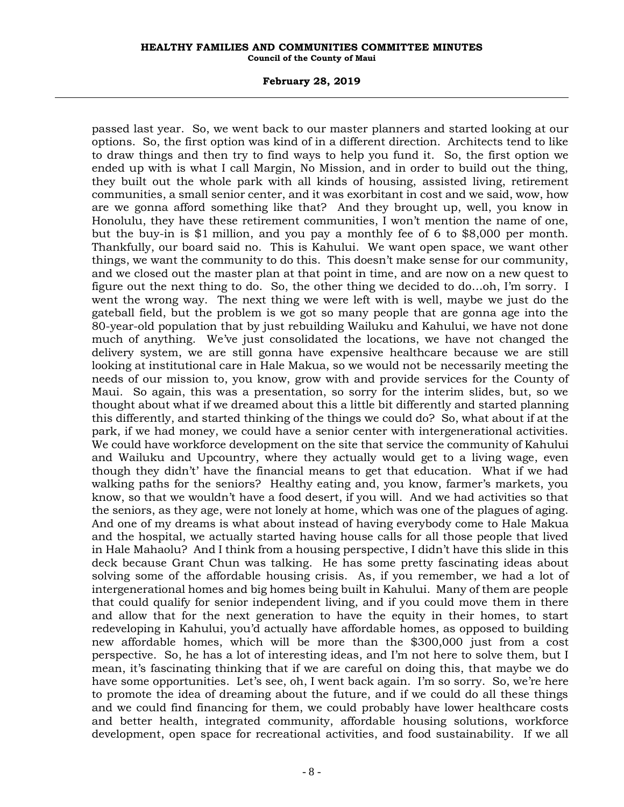#### **February 28, 2019**

passed last year. So, we went back to our master planners and started looking at our options. So, the first option was kind of in a different direction. Architects tend to like to draw things and then try to find ways to help you fund it. So, the first option we ended up with is what I call Margin, No Mission, and in order to build out the thing, they built out the whole park with all kinds of housing, assisted living, retirement communities, a small senior center, and it was exorbitant in cost and we said, wow, how are we gonna afford something like that? And they brought up, well, you know in Honolulu, they have these retirement communities, I won't mention the name of one, but the buy-in is \$1 million, and you pay a monthly fee of 6 to \$8,000 per month. Thankfully, our board said no. This is Kahului. We want open space, we want other things, we want the community to do this. This doesn't make sense for our community, and we closed out the master plan at that point in time, and are now on a new quest to figure out the next thing to do. So, the other thing we decided to do…oh, I'm sorry. I went the wrong way. The next thing we were left with is well, maybe we just do the gateball field, but the problem is we got so many people that are gonna age into the 80-year-old population that by just rebuilding Wailuku and Kahului, we have not done much of anything. We've just consolidated the locations, we have not changed the delivery system, we are still gonna have expensive healthcare because we are still looking at institutional care in Hale Makua, so we would not be necessarily meeting the needs of our mission to, you know, grow with and provide services for the County of Maui. So again, this was a presentation, so sorry for the interim slides, but, so we thought about what if we dreamed about this a little bit differently and started planning this differently, and started thinking of the things we could do? So, what about if at the park, if we had money, we could have a senior center with intergenerational activities. We could have workforce development on the site that service the community of Kahului and Wailuku and Upcountry, where they actually would get to a living wage, even though they didn't' have the financial means to get that education. What if we had walking paths for the seniors? Healthy eating and, you know, farmer's markets, you know, so that we wouldn't have a food desert, if you will. And we had activities so that the seniors, as they age, were not lonely at home, which was one of the plagues of aging. And one of my dreams is what about instead of having everybody come to Hale Makua and the hospital, we actually started having house calls for all those people that lived in Hale Mahaolu? And I think from a housing perspective, I didn't have this slide in this deck because Grant Chun was talking. He has some pretty fascinating ideas about solving some of the affordable housing crisis. As, if you remember, we had a lot of intergenerational homes and big homes being built in Kahului. Many of them are people that could qualify for senior independent living, and if you could move them in there and allow that for the next generation to have the equity in their homes, to start redeveloping in Kahului, you'd actually have affordable homes, as opposed to building new affordable homes, which will be more than the \$300,000 just from a cost perspective. So, he has a lot of interesting ideas, and I'm not here to solve them, but I mean, it's fascinating thinking that if we are careful on doing this, that maybe we do have some opportunities. Let's see, oh, I went back again. I'm so sorry. So, we're here to promote the idea of dreaming about the future, and if we could do all these things and we could find financing for them, we could probably have lower healthcare costs and better health, integrated community, affordable housing solutions, workforce development, open space for recreational activities, and food sustainability. If we all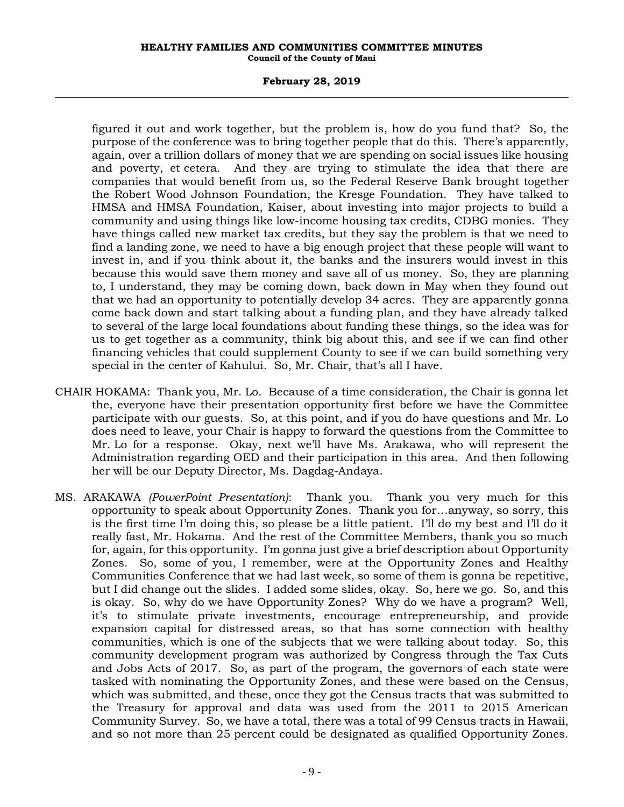### **February 28, 2019**

figured it out and work together, but the problem is, how do you fund that? So, the purpose of the conference was to bring together people that do this. There's apparently, again, over a trillion dollars of money that we are spending on social issues like housing and poverty, et cetera. And they are trying to stimulate the idea that there are companies that would benefit from us, so the Federal Reserve Bank brought together the Robert Wood Johnson Foundation, the Kresge Foundation. They have talked to HMSA and HMSA Foundation, Kaiser, about investing into major projects to build a community and using things like low-income housing tax credits, CDBG monies. They have things called new market tax credits, but they say the problem is that we need to find a landing zone, we need to have a big enough project that these people will want to invest in, and if you think about it, the banks and the insurers would invest in this because this would save them money and save all of us money. So, they are planning to, I understand, they may be coming down, back down in May when they found out that we had an opportunity to potentially develop 34 acres. They are apparently gonna come back down and start talking about a funding plan, and they have already talked to several of the large local foundations about funding these things, so the idea was for us to get together as a community, think big about this, and see if we can find other financing vehicles that could supplement County to see if we can build something very special in the center of Kahului. So, Mr. Chair, that's all I have.

- CHAIR HOKAMA: Thank you, Mr. Lo. Because of a time consideration, the Chair is gonna let the, everyone have their presentation opportunity first before we have the Committee participate with our guests. So, at this point, and if you do have questions and Mr. Lo does need to leave, your Chair is happy to forward the questions from the Committee to Mr. Lo for a response. Okay, next we'll have Ms. Arakawa, who will represent the Administration regarding OED and their participation in this area. And then following her will be our Deputy Director, Ms. Dagdag-Andaya.
- MS. ARAKAWA *(PowerPoint Presentation)*: Thank you. Thank you very much for this opportunity to speak about Opportunity Zones. Thank you for…anyway, so sorry, this is the first time I'm doing this, so please be a little patient. I'll do my best and I'll do it really fast, Mr. Hokama. And the rest of the Committee Members, thank you so much for, again, for this opportunity. I'm gonna just give a brief description about Opportunity Zones. So, some of you, I remember, were at the Opportunity Zones and Healthy Communities Conference that we had last week, so some of them is gonna be repetitive, but I did change out the slides. I added some slides, okay. So, here we go. So, and this is okay. So, why do we have Opportunity Zones? Why do we have a program? Well, it's to stimulate private investments, encourage entrepreneurship, and provide expansion capital for distressed areas, so that has some connection with healthy communities, which is one of the subjects that we were talking about today. So, this community development program was authorized by Congress through the Tax Cuts and Jobs Acts of 2017. So, as part of the program, the governors of each state were tasked with nominating the Opportunity Zones, and these were based on the Census, which was submitted, and these, once they got the Census tracts that was submitted to the Treasury for approval and data was used from the 2011 to 2015 American Community Survey. So, we have a total, there was a total of 99 Census tracts in Hawaii, and so not more than 25 percent could be designated as qualified Opportunity Zones.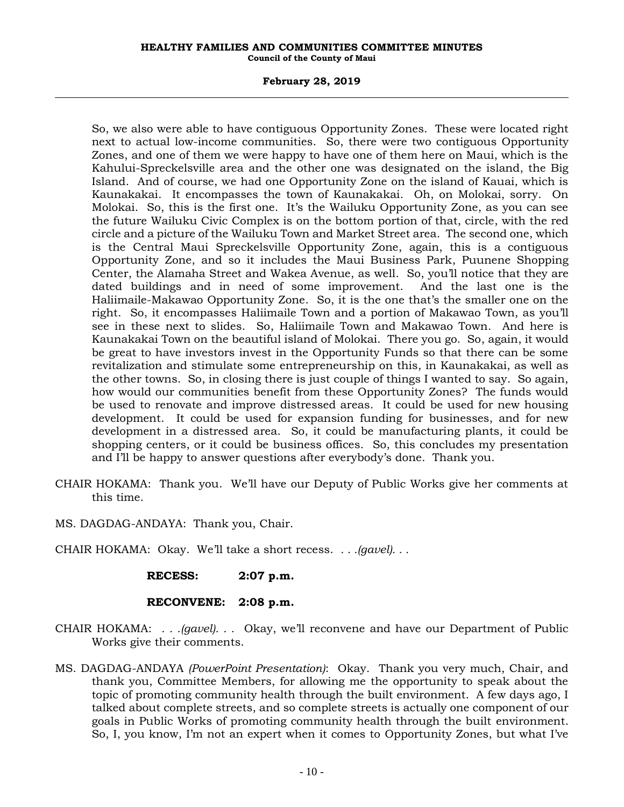### **February 28, 2019**

So, we also were able to have contiguous Opportunity Zones. These were located right next to actual low-income communities. So, there were two contiguous Opportunity Zones, and one of them we were happy to have one of them here on Maui, which is the Kahului-Spreckelsville area and the other one was designated on the island, the Big Island. And of course, we had one Opportunity Zone on the island of Kauai, which is Kaunakakai. It encompasses the town of Kaunakakai. Oh, on Molokai, sorry. On Molokai. So, this is the first one. It's the Wailuku Opportunity Zone, as you can see the future Wailuku Civic Complex is on the bottom portion of that, circle, with the red circle and a picture of the Wailuku Town and Market Street area. The second one, which is the Central Maui Spreckelsville Opportunity Zone, again, this is a contiguous Opportunity Zone, and so it includes the Maui Business Park, Puunene Shopping Center, the Alamaha Street and Wakea Avenue, as well. So, you'll notice that they are dated buildings and in need of some improvement. And the last one is the Haliimaile-Makawao Opportunity Zone. So, it is the one that's the smaller one on the right. So, it encompasses Haliimaile Town and a portion of Makawao Town, as you'll see in these next to slides. So, Haliimaile Town and Makawao Town. And here is Kaunakakai Town on the beautiful island of Molokai. There you go. So, again, it would be great to have investors invest in the Opportunity Funds so that there can be some revitalization and stimulate some entrepreneurship on this, in Kaunakakai, as well as the other towns. So, in closing there is just couple of things I wanted to say. So again, how would our communities benefit from these Opportunity Zones? The funds would be used to renovate and improve distressed areas. It could be used for new housing development. It could be used for expansion funding for businesses, and for new development in a distressed area. So, it could be manufacturing plants, it could be shopping centers, or it could be business offices. So, this concludes my presentation and I'll be happy to answer questions after everybody's done. Thank you.

- CHAIR HOKAMA: Thank you. We'll have our Deputy of Public Works give her comments at this time.
- MS. DAGDAG-ANDAYA: Thank you, Chair.
- CHAIR HOKAMA: Okay. We'll take a short recess. *. . .(gavel). . .*

**RECESS: 2:07 p.m.**

# **RECONVENE: 2:08 p.m.**

- CHAIR HOKAMA: *. . .(gavel). . .* Okay, we'll reconvene and have our Department of Public Works give their comments.
- MS. DAGDAG-ANDAYA *(PowerPoint Presentation)*: Okay. Thank you very much, Chair, and thank you, Committee Members, for allowing me the opportunity to speak about the topic of promoting community health through the built environment. A few days ago, I talked about complete streets, and so complete streets is actually one component of our goals in Public Works of promoting community health through the built environment. So, I, you know, I'm not an expert when it comes to Opportunity Zones, but what I've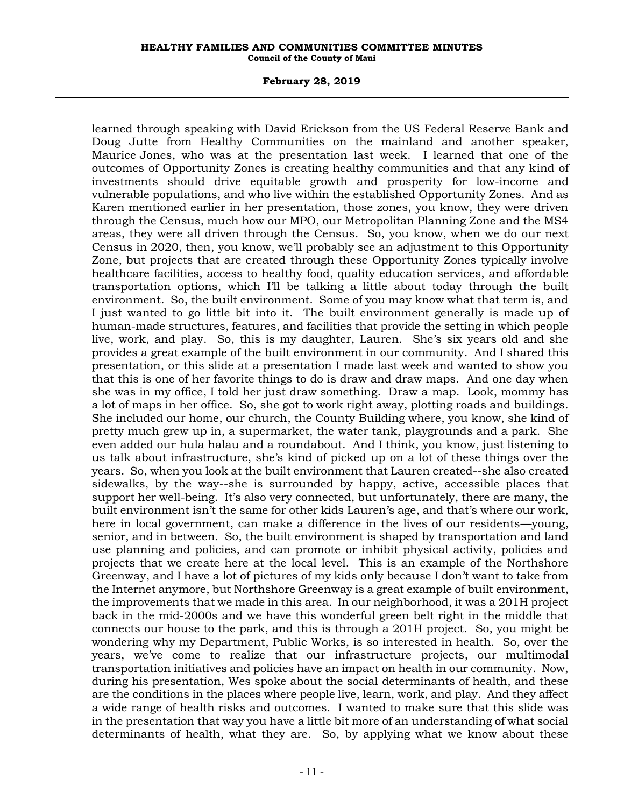#### **February 28, 2019**

learned through speaking with David Erickson from the US Federal Reserve Bank and Doug Jutte from Healthy Communities on the mainland and another speaker, Maurice Jones, who was at the presentation last week. I learned that one of the outcomes of Opportunity Zones is creating healthy communities and that any kind of investments should drive equitable growth and prosperity for low-income and vulnerable populations, and who live within the established Opportunity Zones. And as Karen mentioned earlier in her presentation, those zones, you know, they were driven through the Census, much how our MPO, our Metropolitan Planning Zone and the MS4 areas, they were all driven through the Census. So, you know, when we do our next Census in 2020, then, you know, we'll probably see an adjustment to this Opportunity Zone, but projects that are created through these Opportunity Zones typically involve healthcare facilities, access to healthy food, quality education services, and affordable transportation options, which I'll be talking a little about today through the built environment. So, the built environment. Some of you may know what that term is, and I just wanted to go little bit into it. The built environment generally is made up of human-made structures, features, and facilities that provide the setting in which people live, work, and play. So, this is my daughter, Lauren. She's six years old and she provides a great example of the built environment in our community. And I shared this presentation, or this slide at a presentation I made last week and wanted to show you that this is one of her favorite things to do is draw and draw maps. And one day when she was in my office, I told her just draw something. Draw a map. Look, mommy has a lot of maps in her office. So, she got to work right away, plotting roads and buildings. She included our home, our church, the County Building where, you know, she kind of pretty much grew up in, a supermarket, the water tank, playgrounds and a park. She even added our hula halau and a roundabout. And I think, you know, just listening to us talk about infrastructure, she's kind of picked up on a lot of these things over the years. So, when you look at the built environment that Lauren created--she also created sidewalks, by the way--she is surrounded by happy, active, accessible places that support her well-being. It's also very connected, but unfortunately, there are many, the built environment isn't the same for other kids Lauren's age, and that's where our work, here in local government, can make a difference in the lives of our residents—young, senior, and in between. So, the built environment is shaped by transportation and land use planning and policies, and can promote or inhibit physical activity, policies and projects that we create here at the local level. This is an example of the Northshore Greenway, and I have a lot of pictures of my kids only because I don't want to take from the Internet anymore, but Northshore Greenway is a great example of built environment, the improvements that we made in this area. In our neighborhood, it was a 201H project back in the mid-2000s and we have this wonderful green belt right in the middle that connects our house to the park, and this is through a 201H project. So, you might be wondering why my Department, Public Works, is so interested in health. So, over the years, we've come to realize that our infrastructure projects, our multimodal transportation initiatives and policies have an impact on health in our community. Now, during his presentation, Wes spoke about the social determinants of health, and these are the conditions in the places where people live, learn, work, and play. And they affect a wide range of health risks and outcomes. I wanted to make sure that this slide was in the presentation that way you have a little bit more of an understanding of what social determinants of health, what they are. So, by applying what we know about these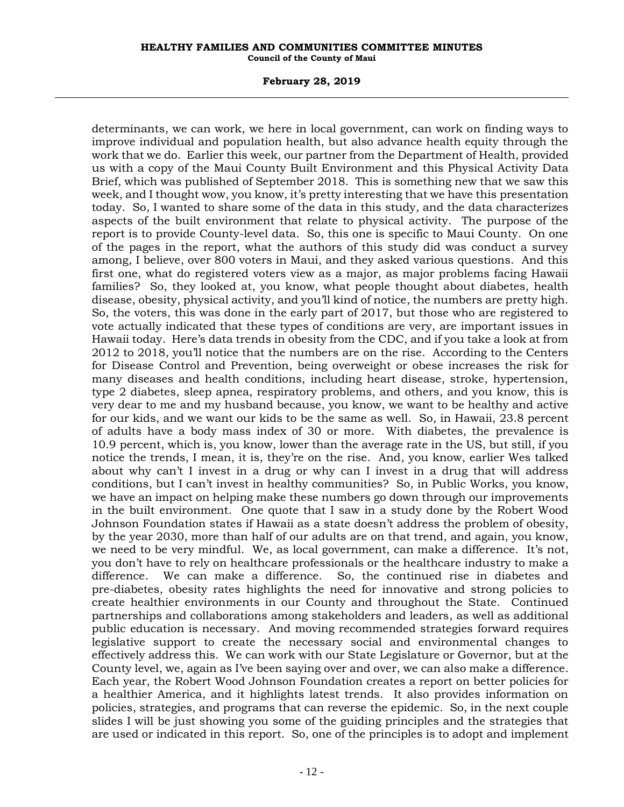#### **February 28, 2019**

determinants, we can work, we here in local government, can work on finding ways to improve individual and population health, but also advance health equity through the work that we do. Earlier this week, our partner from the Department of Health, provided us with a copy of the Maui County Built Environment and this Physical Activity Data Brief, which was published of September 2018. This is something new that we saw this week, and I thought wow, you know, it's pretty interesting that we have this presentation today. So, I wanted to share some of the data in this study, and the data characterizes aspects of the built environment that relate to physical activity. The purpose of the report is to provide County-level data. So, this one is specific to Maui County. On one of the pages in the report, what the authors of this study did was conduct a survey among, I believe, over 800 voters in Maui, and they asked various questions. And this first one, what do registered voters view as a major, as major problems facing Hawaii families? So, they looked at, you know, what people thought about diabetes, health disease, obesity, physical activity, and you'll kind of notice, the numbers are pretty high. So, the voters, this was done in the early part of 2017, but those who are registered to vote actually indicated that these types of conditions are very, are important issues in Hawaii today. Here's data trends in obesity from the CDC, and if you take a look at from 2012 to 2018, you'll notice that the numbers are on the rise. According to the Centers for Disease Control and Prevention, being overweight or obese increases the risk for many diseases and health conditions, including heart disease, stroke, hypertension, type 2 diabetes, sleep apnea, respiratory problems, and others, and you know, this is very dear to me and my husband because, you know, we want to be healthy and active for our kids, and we want our kids to be the same as well. So, in Hawaii, 23.8 percent of adults have a body mass index of 30 or more. With diabetes, the prevalence is 10.9 percent, which is, you know, lower than the average rate in the US, but still, if you notice the trends, I mean, it is, they're on the rise. And, you know, earlier Wes talked about why can't I invest in a drug or why can I invest in a drug that will address conditions, but I can't invest in healthy communities? So, in Public Works, you know, we have an impact on helping make these numbers go down through our improvements in the built environment. One quote that I saw in a study done by the Robert Wood Johnson Foundation states if Hawaii as a state doesn't address the problem of obesity, by the year 2030, more than half of our adults are on that trend, and again, you know, we need to be very mindful. We, as local government, can make a difference. It's not, you don't have to rely on healthcare professionals or the healthcare industry to make a difference. We can make a difference. So, the continued rise in diabetes and pre-diabetes, obesity rates highlights the need for innovative and strong policies to create healthier environments in our County and throughout the State. Continued partnerships and collaborations among stakeholders and leaders, as well as additional public education is necessary. And moving recommended strategies forward requires legislative support to create the necessary social and environmental changes to effectively address this. We can work with our State Legislature or Governor, but at the County level, we, again as I've been saying over and over, we can also make a difference. Each year, the Robert Wood Johnson Foundation creates a report on better policies for a healthier America, and it highlights latest trends. It also provides information on policies, strategies, and programs that can reverse the epidemic. So, in the next couple slides I will be just showing you some of the guiding principles and the strategies that are used or indicated in this report. So, one of the principles is to adopt and implement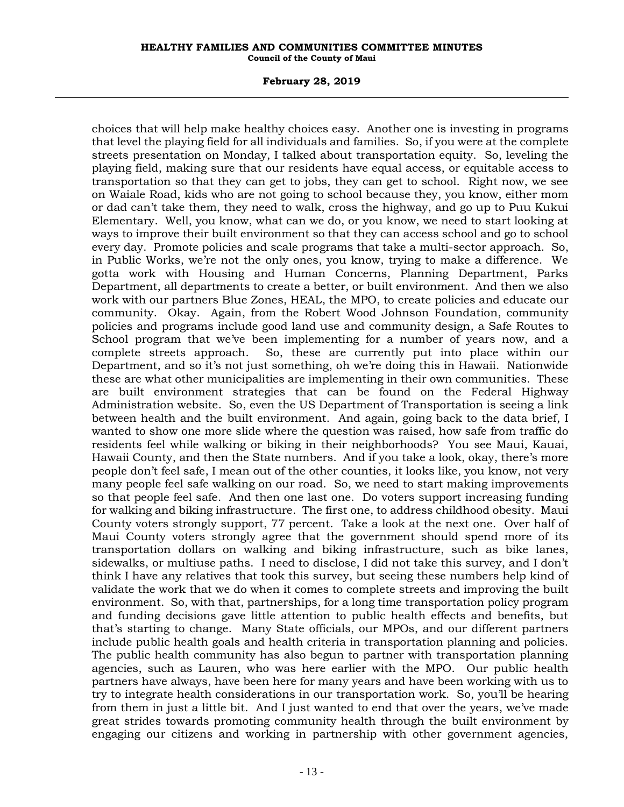#### **February 28, 2019**

choices that will help make healthy choices easy. Another one is investing in programs that level the playing field for all individuals and families. So, if you were at the complete streets presentation on Monday, I talked about transportation equity. So, leveling the playing field, making sure that our residents have equal access, or equitable access to transportation so that they can get to jobs, they can get to school. Right now, we see on Waiale Road, kids who are not going to school because they, you know, either mom or dad can't take them, they need to walk, cross the highway, and go up to Puu Kukui Elementary. Well, you know, what can we do, or you know, we need to start looking at ways to improve their built environment so that they can access school and go to school every day. Promote policies and scale programs that take a multi-sector approach. So, in Public Works, we're not the only ones, you know, trying to make a difference. We gotta work with Housing and Human Concerns, Planning Department, Parks Department, all departments to create a better, or built environment. And then we also work with our partners Blue Zones, HEAL, the MPO, to create policies and educate our community. Okay. Again, from the Robert Wood Johnson Foundation, community policies and programs include good land use and community design, a Safe Routes to School program that we've been implementing for a number of years now, and a complete streets approach. So, these are currently put into place within our Department, and so it's not just something, oh we're doing this in Hawaii. Nationwide these are what other municipalities are implementing in their own communities. These are built environment strategies that can be found on the Federal Highway Administration website. So, even the US Department of Transportation is seeing a link between health and the built environment. And again, going back to the data brief, I wanted to show one more slide where the question was raised, how safe from traffic do residents feel while walking or biking in their neighborhoods? You see Maui, Kauai, Hawaii County, and then the State numbers. And if you take a look, okay, there's more people don't feel safe, I mean out of the other counties, it looks like, you know, not very many people feel safe walking on our road. So, we need to start making improvements so that people feel safe. And then one last one. Do voters support increasing funding for walking and biking infrastructure. The first one, to address childhood obesity. Maui County voters strongly support, 77 percent. Take a look at the next one. Over half of Maui County voters strongly agree that the government should spend more of its transportation dollars on walking and biking infrastructure, such as bike lanes, sidewalks, or multiuse paths. I need to disclose, I did not take this survey, and I don't think I have any relatives that took this survey, but seeing these numbers help kind of validate the work that we do when it comes to complete streets and improving the built environment. So, with that, partnerships, for a long time transportation policy program and funding decisions gave little attention to public health effects and benefits, but that's starting to change. Many State officials, our MPOs, and our different partners include public health goals and health criteria in transportation planning and policies. The public health community has also begun to partner with transportation planning agencies, such as Lauren, who was here earlier with the MPO. Our public health partners have always, have been here for many years and have been working with us to try to integrate health considerations in our transportation work. So, you'll be hearing from them in just a little bit. And I just wanted to end that over the years, we've made great strides towards promoting community health through the built environment by engaging our citizens and working in partnership with other government agencies,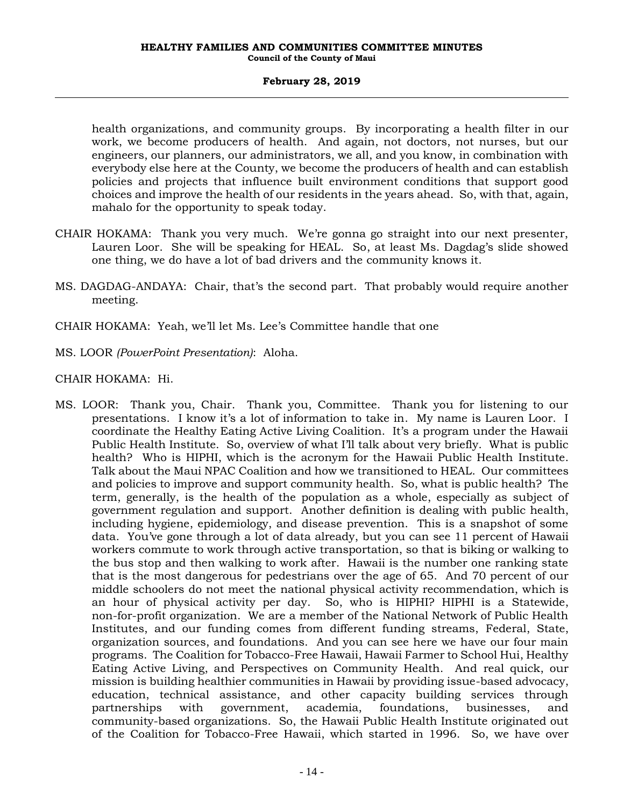health organizations, and community groups. By incorporating a health filter in our work, we become producers of health. And again, not doctors, not nurses, but our engineers, our planners, our administrators, we all, and you know, in combination with everybody else here at the County, we become the producers of health and can establish policies and projects that influence built environment conditions that support good choices and improve the health of our residents in the years ahead. So, with that, again, mahalo for the opportunity to speak today.

- CHAIR HOKAMA: Thank you very much. We're gonna go straight into our next presenter, Lauren Loor. She will be speaking for HEAL. So, at least Ms. Dagdag's slide showed one thing, we do have a lot of bad drivers and the community knows it.
- MS. DAGDAG-ANDAYA: Chair, that's the second part. That probably would require another meeting.
- CHAIR HOKAMA: Yeah, we'll let Ms. Lee's Committee handle that one
- MS. LOOR *(PowerPoint Presentation)*: Aloha.

# CHAIR HOKAMA: Hi.

MS. LOOR: Thank you, Chair. Thank you, Committee. Thank you for listening to our presentations. I know it's a lot of information to take in. My name is Lauren Loor. I coordinate the Healthy Eating Active Living Coalition. It's a program under the Hawaii Public Health Institute. So, overview of what I'll talk about very briefly. What is public health? Who is HIPHI, which is the acronym for the Hawaii Public Health Institute. Talk about the Maui NPAC Coalition and how we transitioned to HEAL. Our committees and policies to improve and support community health. So, what is public health? The term, generally, is the health of the population as a whole, especially as subject of government regulation and support. Another definition is dealing with public health, including hygiene, epidemiology, and disease prevention. This is a snapshot of some data. You've gone through a lot of data already, but you can see 11 percent of Hawaii workers commute to work through active transportation, so that is biking or walking to the bus stop and then walking to work after. Hawaii is the number one ranking state that is the most dangerous for pedestrians over the age of 65. And 70 percent of our middle schoolers do not meet the national physical activity recommendation, which is an hour of physical activity per day. So, who is HIPHI? HIPHI is a Statewide, non-for-profit organization. We are a member of the National Network of Public Health Institutes, and our funding comes from different funding streams, Federal, State, organization sources, and foundations. And you can see here we have our four main programs. The Coalition for Tobacco-Free Hawaii, Hawaii Farmer to School Hui, Healthy Eating Active Living, and Perspectives on Community Health. And real quick, our mission is building healthier communities in Hawaii by providing issue-based advocacy, education, technical assistance, and other capacity building services through partnerships with government, academia, foundations, businesses, and community-based organizations. So, the Hawaii Public Health Institute originated out of the Coalition for Tobacco-Free Hawaii, which started in 1996. So, we have over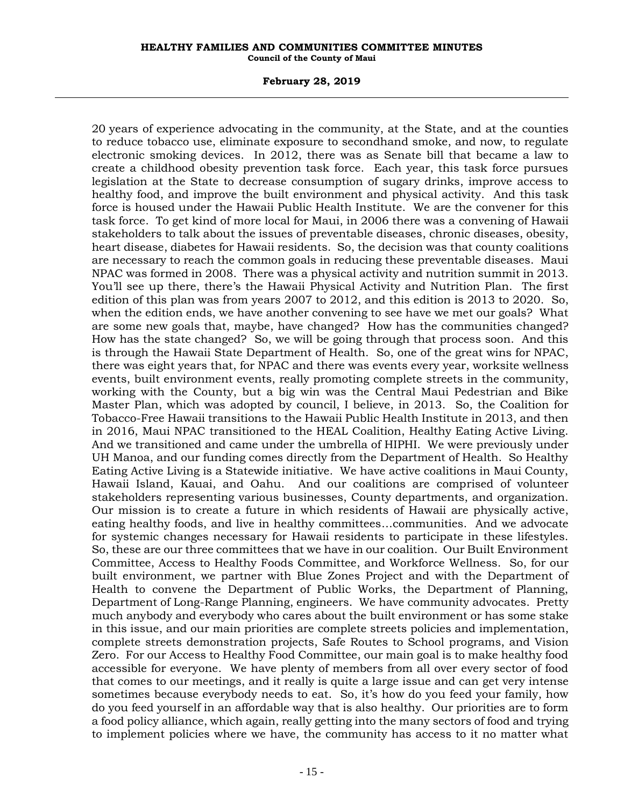### **February 28, 2019**

20 years of experience advocating in the community, at the State, and at the counties to reduce tobacco use, eliminate exposure to secondhand smoke, and now, to regulate electronic smoking devices. In 2012, there was as Senate bill that became a law to create a childhood obesity prevention task force. Each year, this task force pursues legislation at the State to decrease consumption of sugary drinks, improve access to healthy food, and improve the built environment and physical activity. And this task force is housed under the Hawaii Public Health Institute. We are the convener for this task force. To get kind of more local for Maui, in 2006 there was a convening of Hawaii stakeholders to talk about the issues of preventable diseases, chronic diseases, obesity, heart disease, diabetes for Hawaii residents. So, the decision was that county coalitions are necessary to reach the common goals in reducing these preventable diseases. Maui NPAC was formed in 2008. There was a physical activity and nutrition summit in 2013. You'll see up there, there's the Hawaii Physical Activity and Nutrition Plan. The first edition of this plan was from years 2007 to 2012, and this edition is 2013 to 2020. So, when the edition ends, we have another convening to see have we met our goals? What are some new goals that, maybe, have changed? How has the communities changed? How has the state changed? So, we will be going through that process soon. And this is through the Hawaii State Department of Health. So, one of the great wins for NPAC, there was eight years that, for NPAC and there was events every year, worksite wellness events, built environment events, really promoting complete streets in the community, working with the County, but a big win was the Central Maui Pedestrian and Bike Master Plan, which was adopted by council, I believe, in 2013. So, the Coalition for Tobacco-Free Hawaii transitions to the Hawaii Public Health Institute in 2013, and then in 2016, Maui NPAC transitioned to the HEAL Coalition, Healthy Eating Active Living. And we transitioned and came under the umbrella of HIPHI. We were previously under UH Manoa, and our funding comes directly from the Department of Health. So Healthy Eating Active Living is a Statewide initiative. We have active coalitions in Maui County, Hawaii Island, Kauai, and Oahu. And our coalitions are comprised of volunteer stakeholders representing various businesses, County departments, and organization. Our mission is to create a future in which residents of Hawaii are physically active, eating healthy foods, and live in healthy committees…communities. And we advocate for systemic changes necessary for Hawaii residents to participate in these lifestyles. So, these are our three committees that we have in our coalition. Our Built Environment Committee, Access to Healthy Foods Committee, and Workforce Wellness. So, for our built environment, we partner with Blue Zones Project and with the Department of Health to convene the Department of Public Works, the Department of Planning, Department of Long-Range Planning, engineers. We have community advocates. Pretty much anybody and everybody who cares about the built environment or has some stake in this issue, and our main priorities are complete streets policies and implementation, complete streets demonstration projects, Safe Routes to School programs, and Vision Zero. For our Access to Healthy Food Committee, our main goal is to make healthy food accessible for everyone. We have plenty of members from all over every sector of food that comes to our meetings, and it really is quite a large issue and can get very intense sometimes because everybody needs to eat. So, it's how do you feed your family, how do you feed yourself in an affordable way that is also healthy. Our priorities are to form a food policy alliance, which again, really getting into the many sectors of food and trying to implement policies where we have, the community has access to it no matter what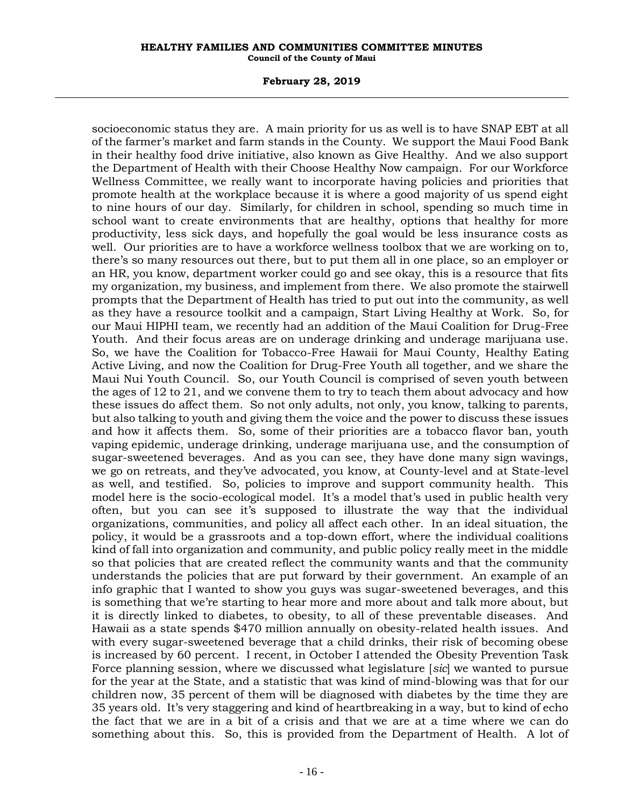#### **February 28, 2019**

socioeconomic status they are. A main priority for us as well is to have SNAP EBT at all of the farmer's market and farm stands in the County. We support the Maui Food Bank in their healthy food drive initiative, also known as Give Healthy. And we also support the Department of Health with their Choose Healthy Now campaign. For our Workforce Wellness Committee, we really want to incorporate having policies and priorities that promote health at the workplace because it is where a good majority of us spend eight to nine hours of our day. Similarly, for children in school, spending so much time in school want to create environments that are healthy, options that healthy for more productivity, less sick days, and hopefully the goal would be less insurance costs as well. Our priorities are to have a workforce wellness toolbox that we are working on to, there's so many resources out there, but to put them all in one place, so an employer or an HR, you know, department worker could go and see okay, this is a resource that fits my organization, my business, and implement from there. We also promote the stairwell prompts that the Department of Health has tried to put out into the community, as well as they have a resource toolkit and a campaign, Start Living Healthy at Work. So, for our Maui HIPHI team, we recently had an addition of the Maui Coalition for Drug-Free Youth. And their focus areas are on underage drinking and underage marijuana use. So, we have the Coalition for Tobacco-Free Hawaii for Maui County, Healthy Eating Active Living, and now the Coalition for Drug-Free Youth all together, and we share the Maui Nui Youth Council. So, our Youth Council is comprised of seven youth between the ages of 12 to 21, and we convene them to try to teach them about advocacy and how these issues do affect them. So not only adults, not only, you know, talking to parents, but also talking to youth and giving them the voice and the power to discuss these issues and how it affects them. So, some of their priorities are a tobacco flavor ban, youth vaping epidemic, underage drinking, underage marijuana use, and the consumption of sugar-sweetened beverages. And as you can see, they have done many sign wavings, we go on retreats, and they've advocated, you know, at County-level and at State-level as well, and testified. So, policies to improve and support community health. This model here is the socio-ecological model. It's a model that's used in public health very often, but you can see it's supposed to illustrate the way that the individual organizations, communities, and policy all affect each other. In an ideal situation, the policy, it would be a grassroots and a top-down effort, where the individual coalitions kind of fall into organization and community, and public policy really meet in the middle so that policies that are created reflect the community wants and that the community understands the policies that are put forward by their government. An example of an info graphic that I wanted to show you guys was sugar-sweetened beverages, and this is something that we're starting to hear more and more about and talk more about, but it is directly linked to diabetes, to obesity, to all of these preventable diseases. And Hawaii as a state spends \$470 million annually on obesity-related health issues. And with every sugar-sweetened beverage that a child drinks, their risk of becoming obese is increased by 60 percent. I recent, in October I attended the Obesity Prevention Task Force planning session, where we discussed what legislature [*sic*] we wanted to pursue for the year at the State, and a statistic that was kind of mind-blowing was that for our children now, 35 percent of them will be diagnosed with diabetes by the time they are 35 years old. It's very staggering and kind of heartbreaking in a way, but to kind of echo the fact that we are in a bit of a crisis and that we are at a time where we can do something about this. So, this is provided from the Department of Health. A lot of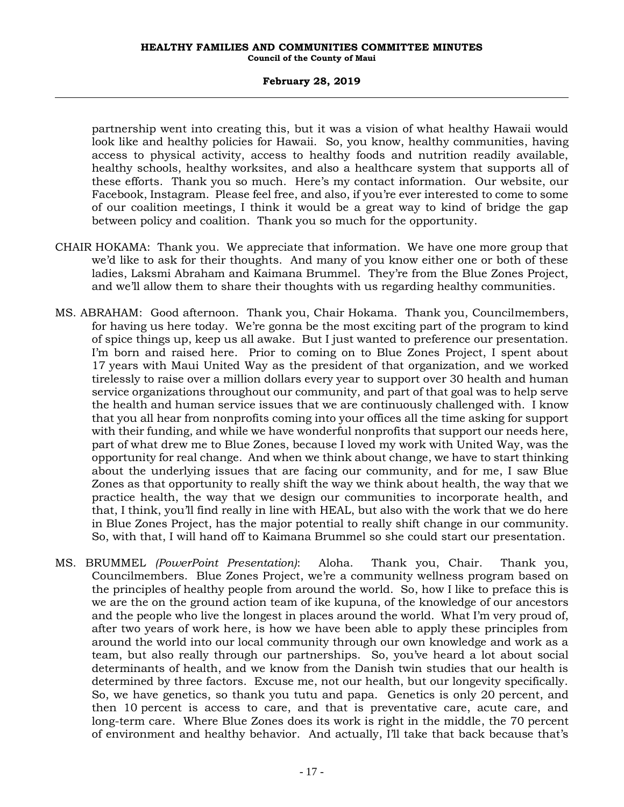### **February 28, 2019**

partnership went into creating this, but it was a vision of what healthy Hawaii would look like and healthy policies for Hawaii. So, you know, healthy communities, having access to physical activity, access to healthy foods and nutrition readily available, healthy schools, healthy worksites, and also a healthcare system that supports all of these efforts. Thank you so much. Here's my contact information. Our website, our Facebook, Instagram. Please feel free, and also, if you're ever interested to come to some of our coalition meetings, I think it would be a great way to kind of bridge the gap between policy and coalition. Thank you so much for the opportunity.

- CHAIR HOKAMA: Thank you. We appreciate that information. We have one more group that we'd like to ask for their thoughts. And many of you know either one or both of these ladies, Laksmi Abraham and Kaimana Brummel. They're from the Blue Zones Project, and we'll allow them to share their thoughts with us regarding healthy communities.
- MS. ABRAHAM: Good afternoon. Thank you, Chair Hokama. Thank you, Councilmembers, for having us here today. We're gonna be the most exciting part of the program to kind of spice things up, keep us all awake. But I just wanted to preference our presentation. I'm born and raised here. Prior to coming on to Blue Zones Project, I spent about 17 years with Maui United Way as the president of that organization, and we worked tirelessly to raise over a million dollars every year to support over 30 health and human service organizations throughout our community, and part of that goal was to help serve the health and human service issues that we are continuously challenged with. I know that you all hear from nonprofits coming into your offices all the time asking for support with their funding, and while we have wonderful nonprofits that support our needs here, part of what drew me to Blue Zones, because I loved my work with United Way, was the opportunity for real change. And when we think about change, we have to start thinking about the underlying issues that are facing our community, and for me, I saw Blue Zones as that opportunity to really shift the way we think about health, the way that we practice health, the way that we design our communities to incorporate health, and that, I think, you'll find really in line with HEAL, but also with the work that we do here in Blue Zones Project, has the major potential to really shift change in our community. So, with that, I will hand off to Kaimana Brummel so she could start our presentation.
- MS. BRUMMEL *(PowerPoint Presentation)*: Aloha. Thank you, Chair. Thank you, Councilmembers. Blue Zones Project, we're a community wellness program based on the principles of healthy people from around the world. So, how I like to preface this is we are the on the ground action team of ike kupuna, of the knowledge of our ancestors and the people who live the longest in places around the world. What I'm very proud of, after two years of work here, is how we have been able to apply these principles from around the world into our local community through our own knowledge and work as a team, but also really through our partnerships. So, you've heard a lot about social determinants of health, and we know from the Danish twin studies that our health is determined by three factors. Excuse me, not our health, but our longevity specifically. So, we have genetics, so thank you tutu and papa. Genetics is only 20 percent, and then 10 percent is access to care, and that is preventative care, acute care, and long-term care. Where Blue Zones does its work is right in the middle, the 70 percent of environment and healthy behavior. And actually, I'll take that back because that's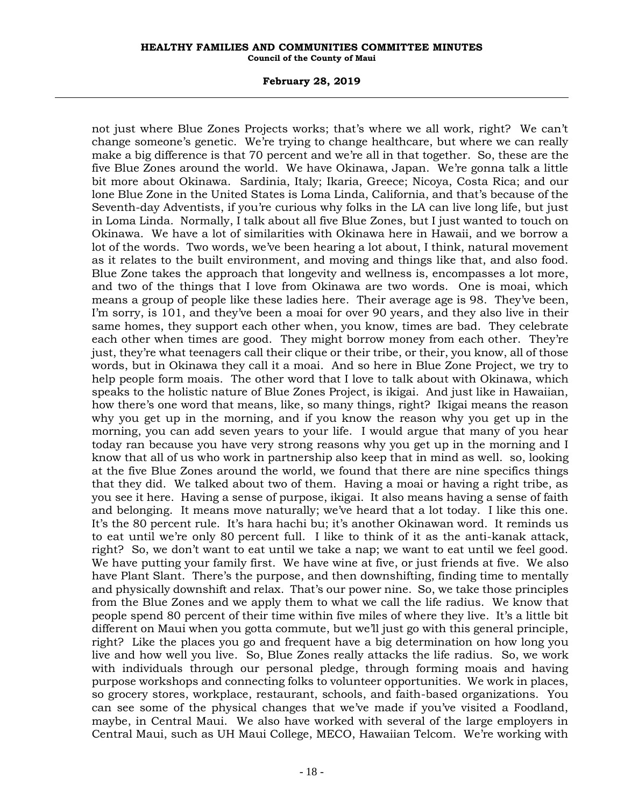#### **February 28, 2019**

not just where Blue Zones Projects works; that's where we all work, right? We can't change someone's genetic. We're trying to change healthcare, but where we can really make a big difference is that 70 percent and we're all in that together. So, these are the five Blue Zones around the world. We have Okinawa, Japan. We're gonna talk a little bit more about Okinawa. Sardinia, Italy; Ikaria, Greece; Nicoya, Costa Rica; and our lone Blue Zone in the United States is Loma Linda, California, and that's because of the Seventh-day Adventists, if you're curious why folks in the LA can live long life, but just in Loma Linda. Normally, I talk about all five Blue Zones, but I just wanted to touch on Okinawa. We have a lot of similarities with Okinawa here in Hawaii, and we borrow a lot of the words. Two words, we've been hearing a lot about, I think, natural movement as it relates to the built environment, and moving and things like that, and also food. Blue Zone takes the approach that longevity and wellness is, encompasses a lot more, and two of the things that I love from Okinawa are two words. One is moai, which means a group of people like these ladies here. Their average age is 98. They've been, I'm sorry, is 101, and they've been a moai for over 90 years, and they also live in their same homes, they support each other when, you know, times are bad. They celebrate each other when times are good. They might borrow money from each other. They're just, they're what teenagers call their clique or their tribe, or their, you know, all of those words, but in Okinawa they call it a moai. And so here in Blue Zone Project, we try to help people form moais. The other word that I love to talk about with Okinawa, which speaks to the holistic nature of Blue Zones Project, is ikigai. And just like in Hawaiian, how there's one word that means, like, so many things, right? Ikigai means the reason why you get up in the morning, and if you know the reason why you get up in the morning, you can add seven years to your life. I would argue that many of you hear today ran because you have very strong reasons why you get up in the morning and I know that all of us who work in partnership also keep that in mind as well. so, looking at the five Blue Zones around the world, we found that there are nine specifics things that they did. We talked about two of them. Having a moai or having a right tribe, as you see it here. Having a sense of purpose, ikigai. It also means having a sense of faith and belonging. It means move naturally; we've heard that a lot today. I like this one. It's the 80 percent rule. It's hara hachi bu; it's another Okinawan word. It reminds us to eat until we're only 80 percent full. I like to think of it as the anti-kanak attack, right? So, we don't want to eat until we take a nap; we want to eat until we feel good. We have putting your family first. We have wine at five, or just friends at five. We also have Plant Slant. There's the purpose, and then downshifting, finding time to mentally and physically downshift and relax. That's our power nine. So, we take those principles from the Blue Zones and we apply them to what we call the life radius. We know that people spend 80 percent of their time within five miles of where they live. It's a little bit different on Maui when you gotta commute, but we'll just go with this general principle, right? Like the places you go and frequent have a big determination on how long you live and how well you live. So, Blue Zones really attacks the life radius. So, we work with individuals through our personal pledge, through forming moais and having purpose workshops and connecting folks to volunteer opportunities. We work in places, so grocery stores, workplace, restaurant, schools, and faith-based organizations. You can see some of the physical changes that we've made if you've visited a Foodland, maybe, in Central Maui. We also have worked with several of the large employers in Central Maui, such as UH Maui College, MECO, Hawaiian Telcom. We're working with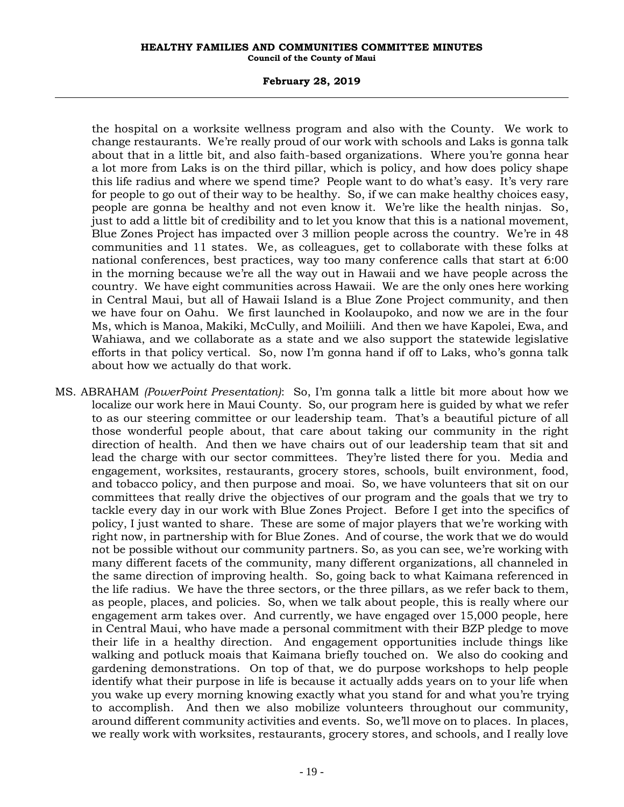### **February 28, 2019**

the hospital on a worksite wellness program and also with the County. We work to change restaurants. We're really proud of our work with schools and Laks is gonna talk about that in a little bit, and also faith-based organizations. Where you're gonna hear a lot more from Laks is on the third pillar, which is policy, and how does policy shape this life radius and where we spend time? People want to do what's easy. It's very rare for people to go out of their way to be healthy. So, if we can make healthy choices easy, people are gonna be healthy and not even know it. We're like the health ninjas. So, just to add a little bit of credibility and to let you know that this is a national movement, Blue Zones Project has impacted over 3 million people across the country. We're in 48 communities and 11 states. We, as colleagues, get to collaborate with these folks at national conferences, best practices, way too many conference calls that start at 6:00 in the morning because we're all the way out in Hawaii and we have people across the country. We have eight communities across Hawaii. We are the only ones here working in Central Maui, but all of Hawaii Island is a Blue Zone Project community, and then we have four on Oahu. We first launched in Koolaupoko, and now we are in the four Ms, which is Manoa, Makiki, McCully, and Moiliili. And then we have Kapolei, Ewa, and Wahiawa, and we collaborate as a state and we also support the statewide legislative efforts in that policy vertical. So, now I'm gonna hand if off to Laks, who's gonna talk about how we actually do that work.

MS. ABRAHAM *(PowerPoint Presentation)*: So, I'm gonna talk a little bit more about how we localize our work here in Maui County. So, our program here is guided by what we refer to as our steering committee or our leadership team. That's a beautiful picture of all those wonderful people about, that care about taking our community in the right direction of health. And then we have chairs out of our leadership team that sit and lead the charge with our sector committees. They're listed there for you. Media and engagement, worksites, restaurants, grocery stores, schools, built environment, food, and tobacco policy, and then purpose and moai. So, we have volunteers that sit on our committees that really drive the objectives of our program and the goals that we try to tackle every day in our work with Blue Zones Project. Before I get into the specifics of policy, I just wanted to share. These are some of major players that we're working with right now, in partnership with for Blue Zones. And of course, the work that we do would not be possible without our community partners. So, as you can see, we're working with many different facets of the community, many different organizations, all channeled in the same direction of improving health. So, going back to what Kaimana referenced in the life radius. We have the three sectors, or the three pillars, as we refer back to them, as people, places, and policies. So, when we talk about people, this is really where our engagement arm takes over. And currently, we have engaged over 15,000 people, here in Central Maui, who have made a personal commitment with their BZP pledge to move their life in a healthy direction. And engagement opportunities include things like walking and potluck moais that Kaimana briefly touched on. We also do cooking and gardening demonstrations. On top of that, we do purpose workshops to help people identify what their purpose in life is because it actually adds years on to your life when you wake up every morning knowing exactly what you stand for and what you're trying to accomplish. And then we also mobilize volunteers throughout our community, around different community activities and events. So, we'll move on to places. In places, we really work with worksites, restaurants, grocery stores, and schools, and I really love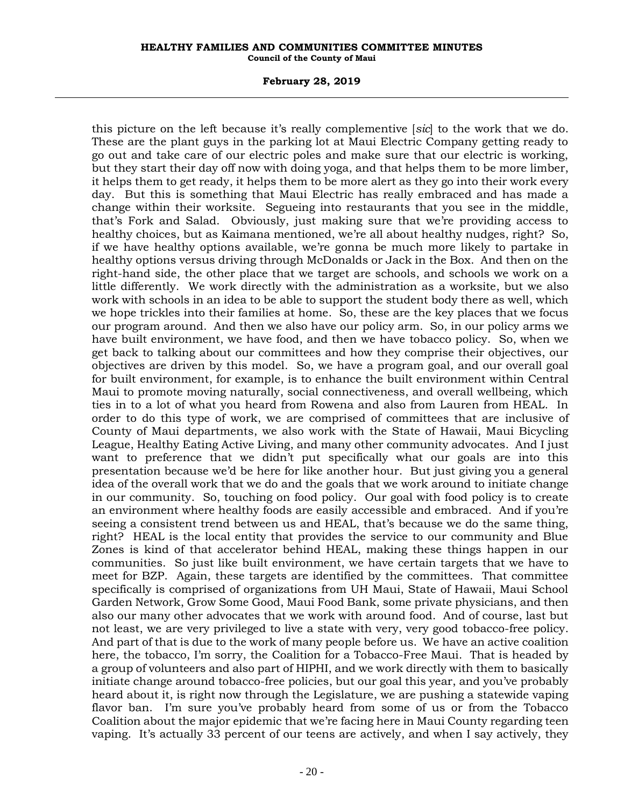#### **February 28, 2019**

this picture on the left because it's really complementive [*sic*] to the work that we do. These are the plant guys in the parking lot at Maui Electric Company getting ready to go out and take care of our electric poles and make sure that our electric is working, but they start their day off now with doing yoga, and that helps them to be more limber, it helps them to get ready, it helps them to be more alert as they go into their work every day. But this is something that Maui Electric has really embraced and has made a change within their worksite. Segueing into restaurants that you see in the middle, that's Fork and Salad. Obviously, just making sure that we're providing access to healthy choices, but as Kaimana mentioned, we're all about healthy nudges, right? So, if we have healthy options available, we're gonna be much more likely to partake in healthy options versus driving through McDonalds or Jack in the Box. And then on the right-hand side, the other place that we target are schools, and schools we work on a little differently. We work directly with the administration as a worksite, but we also work with schools in an idea to be able to support the student body there as well, which we hope trickles into their families at home. So, these are the key places that we focus our program around. And then we also have our policy arm. So, in our policy arms we have built environment, we have food, and then we have tobacco policy. So, when we get back to talking about our committees and how they comprise their objectives, our objectives are driven by this model. So, we have a program goal, and our overall goal for built environment, for example, is to enhance the built environment within Central Maui to promote moving naturally, social connectiveness, and overall wellbeing, which ties in to a lot of what you heard from Rowena and also from Lauren from HEAL. In order to do this type of work, we are comprised of committees that are inclusive of County of Maui departments, we also work with the State of Hawaii, Maui Bicycling League, Healthy Eating Active Living, and many other community advocates. And I just want to preference that we didn't put specifically what our goals are into this presentation because we'd be here for like another hour. But just giving you a general idea of the overall work that we do and the goals that we work around to initiate change in our community. So, touching on food policy. Our goal with food policy is to create an environment where healthy foods are easily accessible and embraced. And if you're seeing a consistent trend between us and HEAL, that's because we do the same thing, right? HEAL is the local entity that provides the service to our community and Blue Zones is kind of that accelerator behind HEAL, making these things happen in our communities. So just like built environment, we have certain targets that we have to meet for BZP. Again, these targets are identified by the committees. That committee specifically is comprised of organizations from UH Maui, State of Hawaii, Maui School Garden Network, Grow Some Good, Maui Food Bank, some private physicians, and then also our many other advocates that we work with around food. And of course, last but not least, we are very privileged to live a state with very, very good tobacco-free policy. And part of that is due to the work of many people before us. We have an active coalition here, the tobacco, I'm sorry, the Coalition for a Tobacco-Free Maui. That is headed by a group of volunteers and also part of HIPHI, and we work directly with them to basically initiate change around tobacco-free policies, but our goal this year, and you've probably heard about it, is right now through the Legislature, we are pushing a statewide vaping flavor ban. I'm sure you've probably heard from some of us or from the Tobacco Coalition about the major epidemic that we're facing here in Maui County regarding teen vaping. It's actually 33 percent of our teens are actively, and when I say actively, they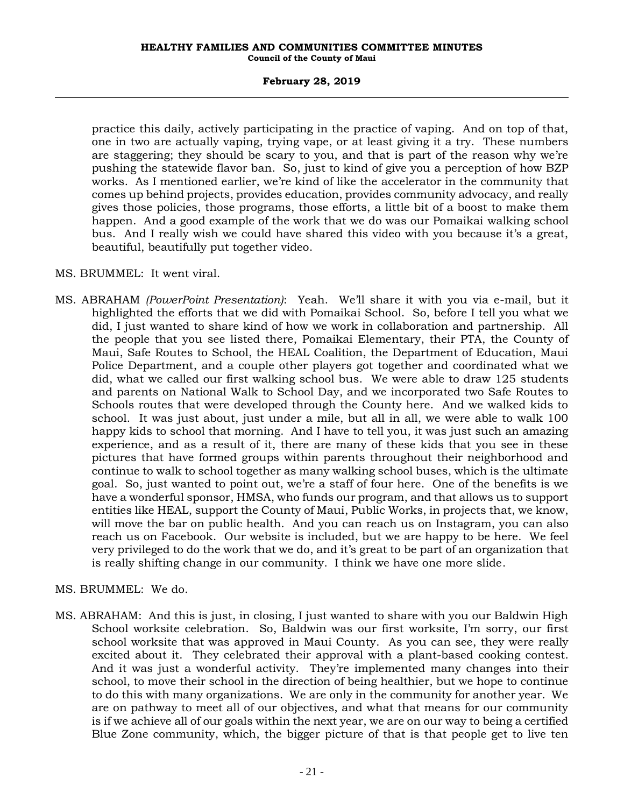### **February 28, 2019**

practice this daily, actively participating in the practice of vaping. And on top of that, one in two are actually vaping, trying vape, or at least giving it a try. These numbers are staggering; they should be scary to you, and that is part of the reason why we're pushing the statewide flavor ban. So, just to kind of give you a perception of how BZP works. As I mentioned earlier, we're kind of like the accelerator in the community that comes up behind projects, provides education, provides community advocacy, and really gives those policies, those programs, those efforts, a little bit of a boost to make them happen. And a good example of the work that we do was our Pomaikai walking school bus. And I really wish we could have shared this video with you because it's a great, beautiful, beautifully put together video.

# MS. BRUMMEL: It went viral.

MS. ABRAHAM *(PowerPoint Presentation)*: Yeah. We'll share it with you via e-mail, but it highlighted the efforts that we did with Pomaikai School. So, before I tell you what we did, I just wanted to share kind of how we work in collaboration and partnership. All the people that you see listed there, Pomaikai Elementary, their PTA, the County of Maui, Safe Routes to School, the HEAL Coalition, the Department of Education, Maui Police Department, and a couple other players got together and coordinated what we did, what we called our first walking school bus. We were able to draw 125 students and parents on National Walk to School Day, and we incorporated two Safe Routes to Schools routes that were developed through the County here. And we walked kids to school. It was just about, just under a mile, but all in all, we were able to walk 100 happy kids to school that morning. And I have to tell you, it was just such an amazing experience, and as a result of it, there are many of these kids that you see in these pictures that have formed groups within parents throughout their neighborhood and continue to walk to school together as many walking school buses, which is the ultimate goal. So, just wanted to point out, we're a staff of four here. One of the benefits is we have a wonderful sponsor, HMSA, who funds our program, and that allows us to support entities like HEAL, support the County of Maui, Public Works, in projects that, we know, will move the bar on public health. And you can reach us on Instagram, you can also reach us on Facebook. Our website is included, but we are happy to be here. We feel very privileged to do the work that we do, and it's great to be part of an organization that is really shifting change in our community. I think we have one more slide.

# MS. BRUMMEL: We do.

MS. ABRAHAM: And this is just, in closing, I just wanted to share with you our Baldwin High School worksite celebration. So, Baldwin was our first worksite, I'm sorry, our first school worksite that was approved in Maui County. As you can see, they were really excited about it. They celebrated their approval with a plant-based cooking contest. And it was just a wonderful activity. They're implemented many changes into their school, to move their school in the direction of being healthier, but we hope to continue to do this with many organizations. We are only in the community for another year. We are on pathway to meet all of our objectives, and what that means for our community is if we achieve all of our goals within the next year, we are on our way to being a certified Blue Zone community, which, the bigger picture of that is that people get to live ten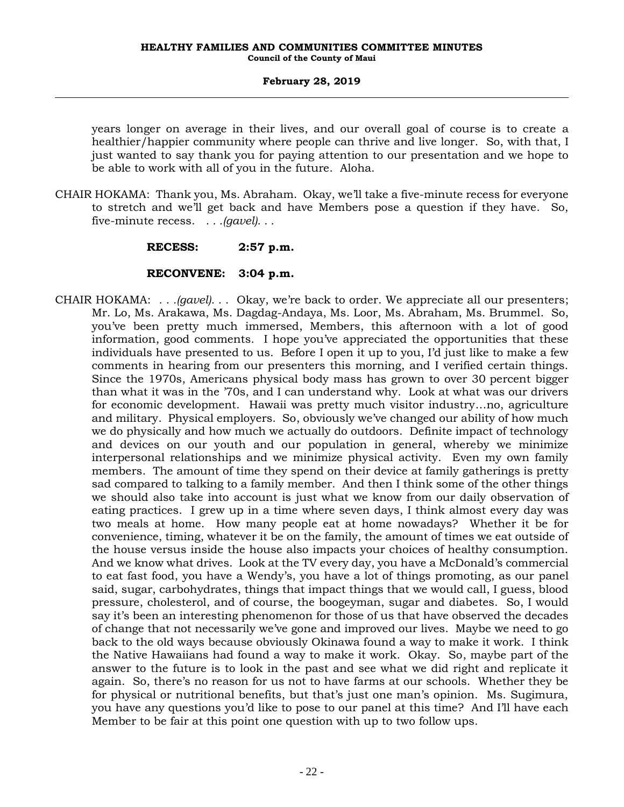years longer on average in their lives, and our overall goal of course is to create a healthier/happier community where people can thrive and live longer. So, with that, I just wanted to say thank you for paying attention to our presentation and we hope to be able to work with all of you in the future. Aloha.

CHAIR HOKAMA: Thank you, Ms. Abraham. Okay, we'll take a five-minute recess for everyone to stretch and we'll get back and have Members pose a question if they have. So, five-minute recess. *. . .(gavel). . .*

# **RECESS: 2:57 p.m.**

# **RECONVENE: 3:04 p.m.**

CHAIR HOKAMA: *. . .(gavel). . .* Okay, we're back to order. We appreciate all our presenters; Mr. Lo, Ms. Arakawa, Ms. Dagdag-Andaya, Ms. Loor, Ms. Abraham, Ms. Brummel. So, you've been pretty much immersed, Members, this afternoon with a lot of good information, good comments. I hope you've appreciated the opportunities that these individuals have presented to us. Before I open it up to you, I'd just like to make a few comments in hearing from our presenters this morning, and I verified certain things. Since the 1970s, Americans physical body mass has grown to over 30 percent bigger than what it was in the '70s, and I can understand why. Look at what was our drivers for economic development. Hawaii was pretty much visitor industry…no, agriculture and military. Physical employers. So, obviously we've changed our ability of how much we do physically and how much we actually do outdoors. Definite impact of technology and devices on our youth and our population in general, whereby we minimize interpersonal relationships and we minimize physical activity. Even my own family members. The amount of time they spend on their device at family gatherings is pretty sad compared to talking to a family member. And then I think some of the other things we should also take into account is just what we know from our daily observation of eating practices. I grew up in a time where seven days, I think almost every day was two meals at home. How many people eat at home nowadays? Whether it be for convenience, timing, whatever it be on the family, the amount of times we eat outside of the house versus inside the house also impacts your choices of healthy consumption. And we know what drives. Look at the TV every day, you have a McDonald's commercial to eat fast food, you have a Wendy's, you have a lot of things promoting, as our panel said, sugar, carbohydrates, things that impact things that we would call, I guess, blood pressure, cholesterol, and of course, the boogeyman, sugar and diabetes. So, I would say it's been an interesting phenomenon for those of us that have observed the decades of change that not necessarily we've gone and improved our lives. Maybe we need to go back to the old ways because obviously Okinawa found a way to make it work. I think the Native Hawaiians had found a way to make it work. Okay. So, maybe part of the answer to the future is to look in the past and see what we did right and replicate it again. So, there's no reason for us not to have farms at our schools. Whether they be for physical or nutritional benefits, but that's just one man's opinion. Ms. Sugimura, you have any questions you'd like to pose to our panel at this time? And I'll have each Member to be fair at this point one question with up to two follow ups.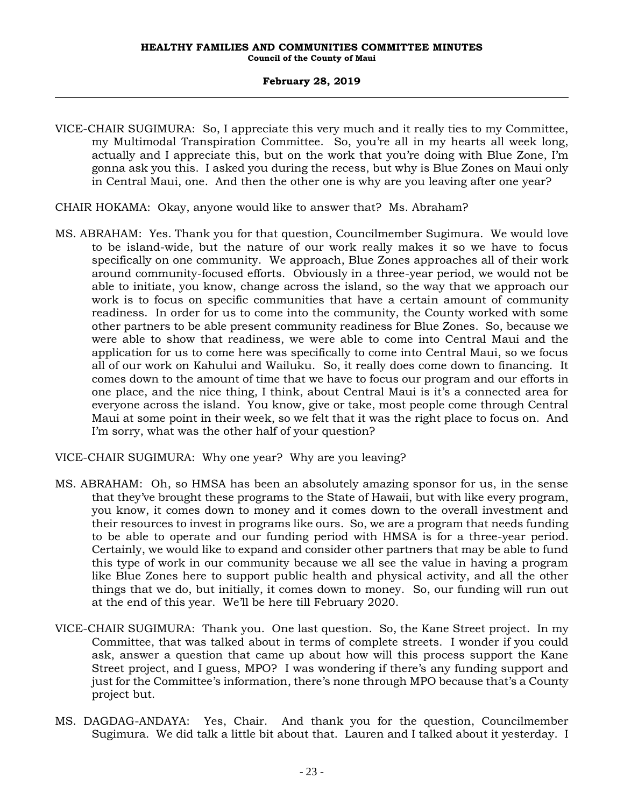- VICE-CHAIR SUGIMURA: So, I appreciate this very much and it really ties to my Committee, my Multimodal Transpiration Committee. So, you're all in my hearts all week long, actually and I appreciate this, but on the work that you're doing with Blue Zone, I'm gonna ask you this. I asked you during the recess, but why is Blue Zones on Maui only in Central Maui, one. And then the other one is why are you leaving after one year?
- CHAIR HOKAMA: Okay, anyone would like to answer that? Ms. Abraham?
- MS. ABRAHAM: Yes. Thank you for that question, Councilmember Sugimura. We would love to be island-wide, but the nature of our work really makes it so we have to focus specifically on one community. We approach, Blue Zones approaches all of their work around community-focused efforts. Obviously in a three-year period, we would not be able to initiate, you know, change across the island, so the way that we approach our work is to focus on specific communities that have a certain amount of community readiness. In order for us to come into the community, the County worked with some other partners to be able present community readiness for Blue Zones. So, because we were able to show that readiness, we were able to come into Central Maui and the application for us to come here was specifically to come into Central Maui, so we focus all of our work on Kahului and Wailuku. So, it really does come down to financing. It comes down to the amount of time that we have to focus our program and our efforts in one place, and the nice thing, I think, about Central Maui is it's a connected area for everyone across the island. You know, give or take, most people come through Central Maui at some point in their week, so we felt that it was the right place to focus on. And I'm sorry, what was the other half of your question?

VICE-CHAIR SUGIMURA: Why one year? Why are you leaving?

- MS. ABRAHAM: Oh, so HMSA has been an absolutely amazing sponsor for us, in the sense that they've brought these programs to the State of Hawaii, but with like every program, you know, it comes down to money and it comes down to the overall investment and their resources to invest in programs like ours. So, we are a program that needs funding to be able to operate and our funding period with HMSA is for a three-year period. Certainly, we would like to expand and consider other partners that may be able to fund this type of work in our community because we all see the value in having a program like Blue Zones here to support public health and physical activity, and all the other things that we do, but initially, it comes down to money. So, our funding will run out at the end of this year. We'll be here till February 2020.
- VICE-CHAIR SUGIMURA: Thank you. One last question. So, the Kane Street project. In my Committee, that was talked about in terms of complete streets. I wonder if you could ask, answer a question that came up about how will this process support the Kane Street project, and I guess, MPO? I was wondering if there's any funding support and just for the Committee's information, there's none through MPO because that's a County project but.
- MS. DAGDAG-ANDAYA: Yes, Chair. And thank you for the question, Councilmember Sugimura. We did talk a little bit about that. Lauren and I talked about it yesterday. I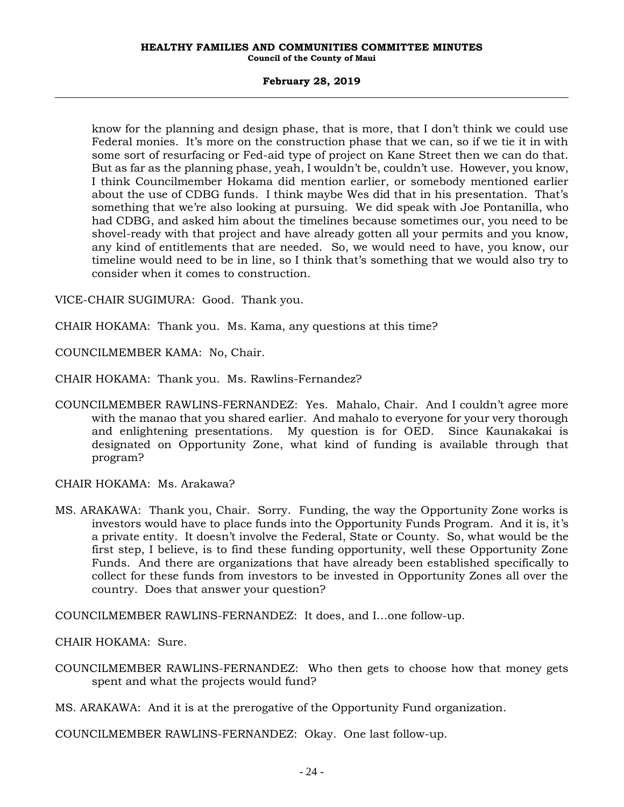### **February 28, 2019**

know for the planning and design phase, that is more, that I don't think we could use Federal monies. It's more on the construction phase that we can, so if we tie it in with some sort of resurfacing or Fed-aid type of project on Kane Street then we can do that. But as far as the planning phase, yeah, I wouldn't be, couldn't use. However, you know, I think Councilmember Hokama did mention earlier, or somebody mentioned earlier about the use of CDBG funds. I think maybe Wes did that in his presentation. That's something that we're also looking at pursuing. We did speak with Joe Pontanilla, who had CDBG, and asked him about the timelines because sometimes our, you need to be shovel-ready with that project and have already gotten all your permits and you know, any kind of entitlements that are needed. So, we would need to have, you know, our timeline would need to be in line, so I think that's something that we would also try to consider when it comes to construction.

VICE-CHAIR SUGIMURA: Good. Thank you.

CHAIR HOKAMA: Thank you. Ms. Kama, any questions at this time?

COUNCILMEMBER KAMA: No, Chair.

CHAIR HOKAMA: Thank you. Ms. Rawlins-Fernandez?

COUNCILMEMBER RAWLINS-FERNANDEZ: Yes. Mahalo, Chair. And I couldn't agree more with the manao that you shared earlier. And mahalo to everyone for your very thorough and enlightening presentations. My question is for OED. Since Kaunakakai is designated on Opportunity Zone, what kind of funding is available through that program?

CHAIR HOKAMA: Ms. Arakawa?

MS. ARAKAWA: Thank you, Chair. Sorry. Funding, the way the Opportunity Zone works is investors would have to place funds into the Opportunity Funds Program. And it is, it's a private entity. It doesn't involve the Federal, State or County. So, what would be the first step, I believe, is to find these funding opportunity, well these Opportunity Zone Funds. And there are organizations that have already been established specifically to collect for these funds from investors to be invested in Opportunity Zones all over the country. Does that answer your question?

COUNCILMEMBER RAWLINS-FERNANDEZ: It does, and I…one follow-up.

CHAIR HOKAMA: Sure.

COUNCILMEMBER RAWLINS-FERNANDEZ: Who then gets to choose how that money gets spent and what the projects would fund?

MS. ARAKAWA: And it is at the prerogative of the Opportunity Fund organization.

COUNCILMEMBER RAWLINS-FERNANDEZ: Okay. One last follow-up.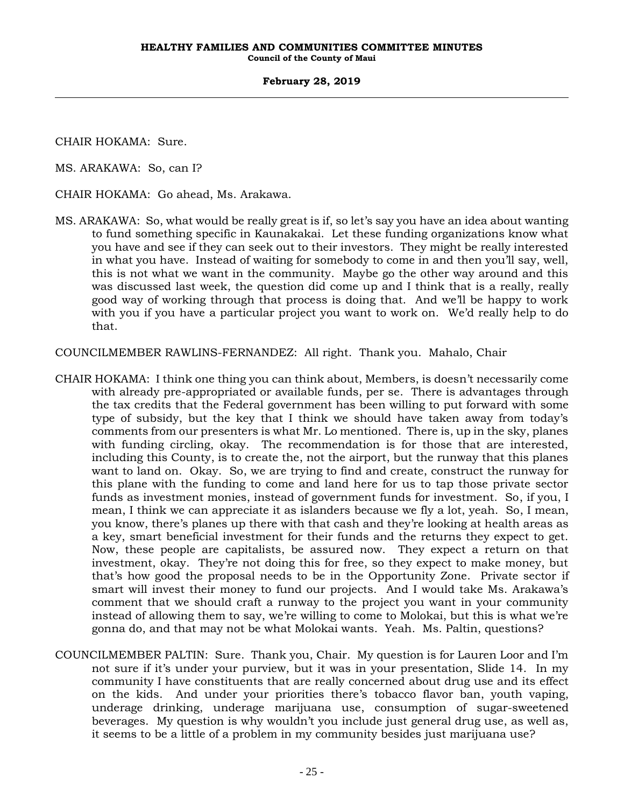CHAIR HOKAMA: Sure.

MS. ARAKAWA: So, can I?

CHAIR HOKAMA: Go ahead, Ms. Arakawa.

MS. ARAKAWA: So, what would be really great is if, so let's say you have an idea about wanting to fund something specific in Kaunakakai. Let these funding organizations know what you have and see if they can seek out to their investors. They might be really interested in what you have. Instead of waiting for somebody to come in and then you'll say, well, this is not what we want in the community. Maybe go the other way around and this was discussed last week, the question did come up and I think that is a really, really good way of working through that process is doing that. And we'll be happy to work with you if you have a particular project you want to work on. We'd really help to do that.

COUNCILMEMBER RAWLINS-FERNANDEZ: All right. Thank you. Mahalo, Chair

- CHAIR HOKAMA: I think one thing you can think about, Members, is doesn't necessarily come with already pre-appropriated or available funds, per se. There is advantages through the tax credits that the Federal government has been willing to put forward with some type of subsidy, but the key that I think we should have taken away from today's comments from our presenters is what Mr. Lo mentioned. There is, up in the sky, planes with funding circling, okay. The recommendation is for those that are interested, including this County, is to create the, not the airport, but the runway that this planes want to land on. Okay. So, we are trying to find and create, construct the runway for this plane with the funding to come and land here for us to tap those private sector funds as investment monies, instead of government funds for investment. So, if you, I mean, I think we can appreciate it as islanders because we fly a lot, yeah. So, I mean, you know, there's planes up there with that cash and they're looking at health areas as a key, smart beneficial investment for their funds and the returns they expect to get. Now, these people are capitalists, be assured now. They expect a return on that investment, okay. They're not doing this for free, so they expect to make money, but that's how good the proposal needs to be in the Opportunity Zone. Private sector if smart will invest their money to fund our projects. And I would take Ms. Arakawa's comment that we should craft a runway to the project you want in your community instead of allowing them to say, we're willing to come to Molokai, but this is what we're gonna do, and that may not be what Molokai wants. Yeah. Ms. Paltin, questions?
- COUNCILMEMBER PALTIN: Sure. Thank you, Chair. My question is for Lauren Loor and I'm not sure if it's under your purview, but it was in your presentation, Slide 14. In my community I have constituents that are really concerned about drug use and its effect on the kids. And under your priorities there's tobacco flavor ban, youth vaping, underage drinking, underage marijuana use, consumption of sugar-sweetened beverages. My question is why wouldn't you include just general drug use, as well as, it seems to be a little of a problem in my community besides just marijuana use?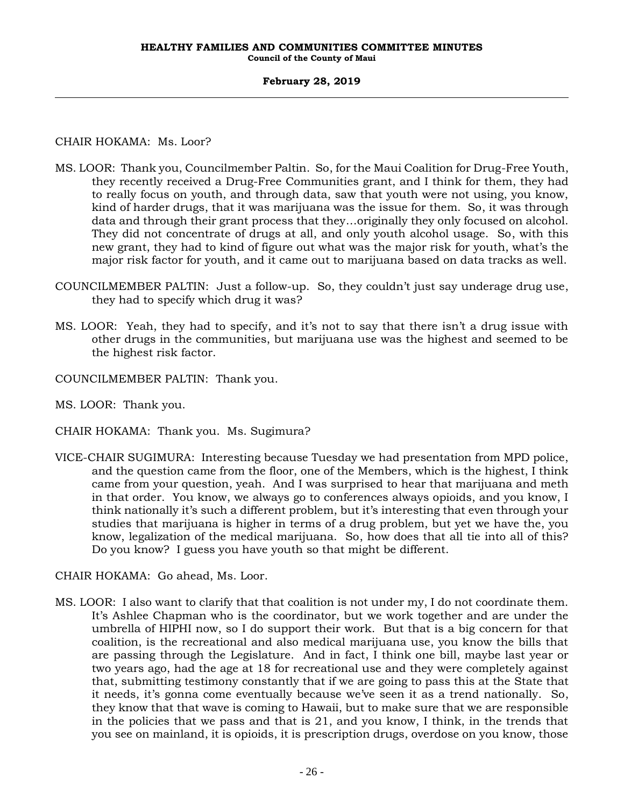# CHAIR HOKAMA: Ms. Loor?

- MS. LOOR: Thank you, Councilmember Paltin. So, for the Maui Coalition for Drug-Free Youth, they recently received a Drug-Free Communities grant, and I think for them, they had to really focus on youth, and through data, saw that youth were not using, you know, kind of harder drugs, that it was marijuana was the issue for them. So, it was through data and through their grant process that they…originally they only focused on alcohol. They did not concentrate of drugs at all, and only youth alcohol usage. So, with this new grant, they had to kind of figure out what was the major risk for youth, what's the major risk factor for youth, and it came out to marijuana based on data tracks as well.
- COUNCILMEMBER PALTIN: Just a follow-up. So, they couldn't just say underage drug use, they had to specify which drug it was?
- MS. LOOR: Yeah, they had to specify, and it's not to say that there isn't a drug issue with other drugs in the communities, but marijuana use was the highest and seemed to be the highest risk factor.
- COUNCILMEMBER PALTIN: Thank you.
- MS. LOOR: Thank you.
- CHAIR HOKAMA: Thank you. Ms. Sugimura?
- VICE-CHAIR SUGIMURA: Interesting because Tuesday we had presentation from MPD police, and the question came from the floor, one of the Members, which is the highest, I think came from your question, yeah. And I was surprised to hear that marijuana and meth in that order. You know, we always go to conferences always opioids, and you know, I think nationally it's such a different problem, but it's interesting that even through your studies that marijuana is higher in terms of a drug problem, but yet we have the, you know, legalization of the medical marijuana. So, how does that all tie into all of this? Do you know? I guess you have youth so that might be different.

CHAIR HOKAMA: Go ahead, Ms. Loor.

MS. LOOR: I also want to clarify that that coalition is not under my, I do not coordinate them. It's Ashlee Chapman who is the coordinator, but we work together and are under the umbrella of HIPHI now, so I do support their work. But that is a big concern for that coalition, is the recreational and also medical marijuana use, you know the bills that are passing through the Legislature. And in fact, I think one bill, maybe last year or two years ago, had the age at 18 for recreational use and they were completely against that, submitting testimony constantly that if we are going to pass this at the State that it needs, it's gonna come eventually because we've seen it as a trend nationally. So, they know that that wave is coming to Hawaii, but to make sure that we are responsible in the policies that we pass and that is 21, and you know, I think, in the trends that you see on mainland, it is opioids, it is prescription drugs, overdose on you know, those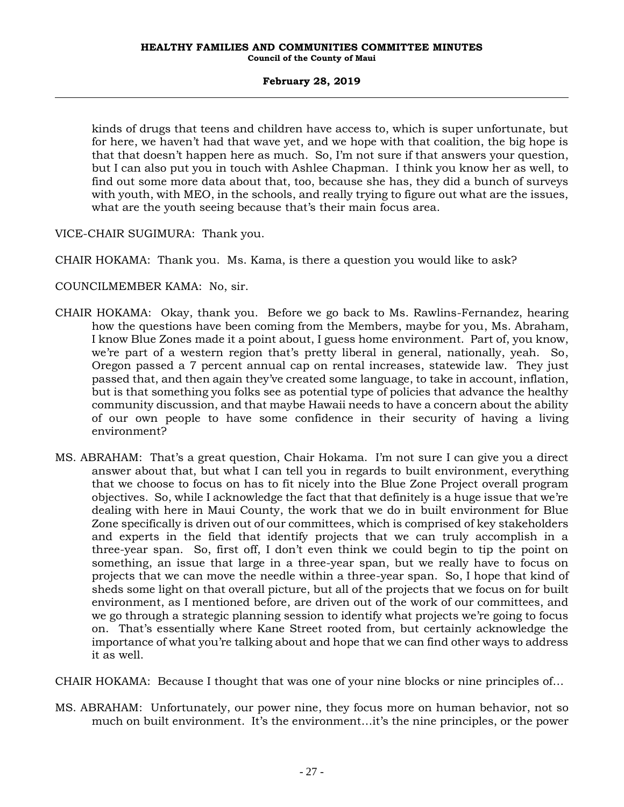kinds of drugs that teens and children have access to, which is super unfortunate, but for here, we haven't had that wave yet, and we hope with that coalition, the big hope is that that doesn't happen here as much. So, I'm not sure if that answers your question, but I can also put you in touch with Ashlee Chapman. I think you know her as well, to find out some more data about that, too, because she has, they did a bunch of surveys with youth, with MEO, in the schools, and really trying to figure out what are the issues, what are the youth seeing because that's their main focus area.

VICE-CHAIR SUGIMURA: Thank you.

CHAIR HOKAMA: Thank you. Ms. Kama, is there a question you would like to ask?

COUNCILMEMBER KAMA: No, sir.

- CHAIR HOKAMA: Okay, thank you. Before we go back to Ms. Rawlins-Fernandez, hearing how the questions have been coming from the Members, maybe for you, Ms. Abraham, I know Blue Zones made it a point about, I guess home environment. Part of, you know, we're part of a western region that's pretty liberal in general, nationally, yeah. So, Oregon passed a 7 percent annual cap on rental increases, statewide law. They just passed that, and then again they've created some language, to take in account, inflation, but is that something you folks see as potential type of policies that advance the healthy community discussion, and that maybe Hawaii needs to have a concern about the ability of our own people to have some confidence in their security of having a living environment?
- MS. ABRAHAM: That's a great question, Chair Hokama. I'm not sure I can give you a direct answer about that, but what I can tell you in regards to built environment, everything that we choose to focus on has to fit nicely into the Blue Zone Project overall program objectives. So, while I acknowledge the fact that that definitely is a huge issue that we're dealing with here in Maui County, the work that we do in built environment for Blue Zone specifically is driven out of our committees, which is comprised of key stakeholders and experts in the field that identify projects that we can truly accomplish in a three-year span. So, first off, I don't even think we could begin to tip the point on something, an issue that large in a three-year span, but we really have to focus on projects that we can move the needle within a three-year span. So, I hope that kind of sheds some light on that overall picture, but all of the projects that we focus on for built environment, as I mentioned before, are driven out of the work of our committees, and we go through a strategic planning session to identify what projects we're going to focus on. That's essentially where Kane Street rooted from, but certainly acknowledge the importance of what you're talking about and hope that we can find other ways to address it as well.

CHAIR HOKAMA: Because I thought that was one of your nine blocks or nine principles of…

MS. ABRAHAM: Unfortunately, our power nine, they focus more on human behavior, not so much on built environment. It's the environment…it's the nine principles, or the power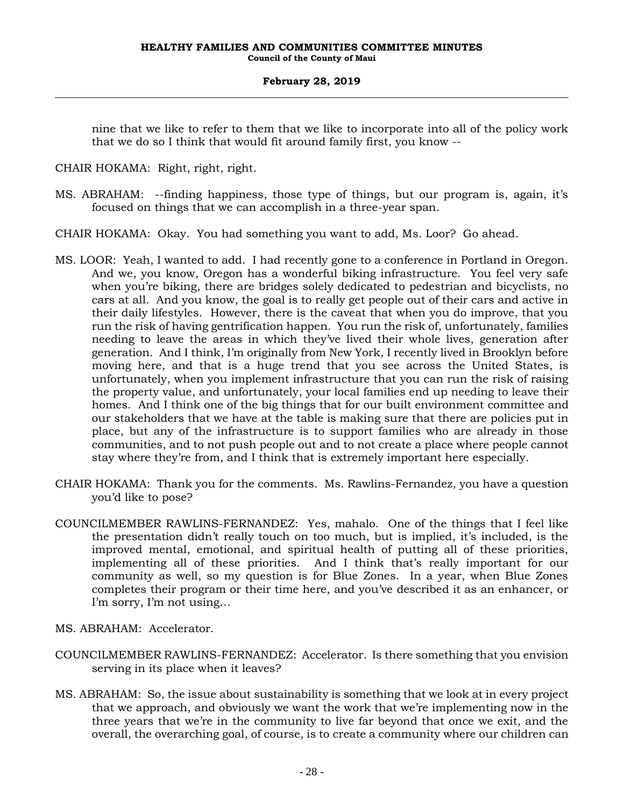nine that we like to refer to them that we like to incorporate into all of the policy work that we do so I think that would fit around family first, you know --

CHAIR HOKAMA: Right, right, right.

- MS. ABRAHAM: --finding happiness, those type of things, but our program is, again, it's focused on things that we can accomplish in a three-year span.
- CHAIR HOKAMA: Okay. You had something you want to add, Ms. Loor? Go ahead.
- MS. LOOR: Yeah, I wanted to add. I had recently gone to a conference in Portland in Oregon. And we, you know, Oregon has a wonderful biking infrastructure. You feel very safe when you're biking, there are bridges solely dedicated to pedestrian and bicyclists, no cars at all. And you know, the goal is to really get people out of their cars and active in their daily lifestyles. However, there is the caveat that when you do improve, that you run the risk of having gentrification happen. You run the risk of, unfortunately, families needing to leave the areas in which they've lived their whole lives, generation after generation. And I think, I'm originally from New York, I recently lived in Brooklyn before moving here, and that is a huge trend that you see across the United States, is unfortunately, when you implement infrastructure that you can run the risk of raising the property value, and unfortunately, your local families end up needing to leave their homes. And I think one of the big things that for our built environment committee and our stakeholders that we have at the table is making sure that there are policies put in place, but any of the infrastructure is to support families who are already in those communities, and to not push people out and to not create a place where people cannot stay where they're from, and I think that is extremely important here especially.
- CHAIR HOKAMA: Thank you for the comments. Ms. Rawlins-Fernandez, you have a question you'd like to pose?
- COUNCILMEMBER RAWLINS-FERNANDEZ: Yes, mahalo. One of the things that I feel like the presentation didn't really touch on too much, but is implied, it's included, is the improved mental, emotional, and spiritual health of putting all of these priorities, implementing all of these priorities. And I think that's really important for our community as well, so my question is for Blue Zones. In a year, when Blue Zones completes their program or their time here, and you've described it as an enhancer, or I'm sorry, I'm not using…
- MS. ABRAHAM: Accelerator.
- COUNCILMEMBER RAWLINS-FERNANDEZ: Accelerator. Is there something that you envision serving in its place when it leaves?
- MS. ABRAHAM: So, the issue about sustainability is something that we look at in every project that we approach, and obviously we want the work that we're implementing now in the three years that we're in the community to live far beyond that once we exit, and the overall, the overarching goal, of course, is to create a community where our children can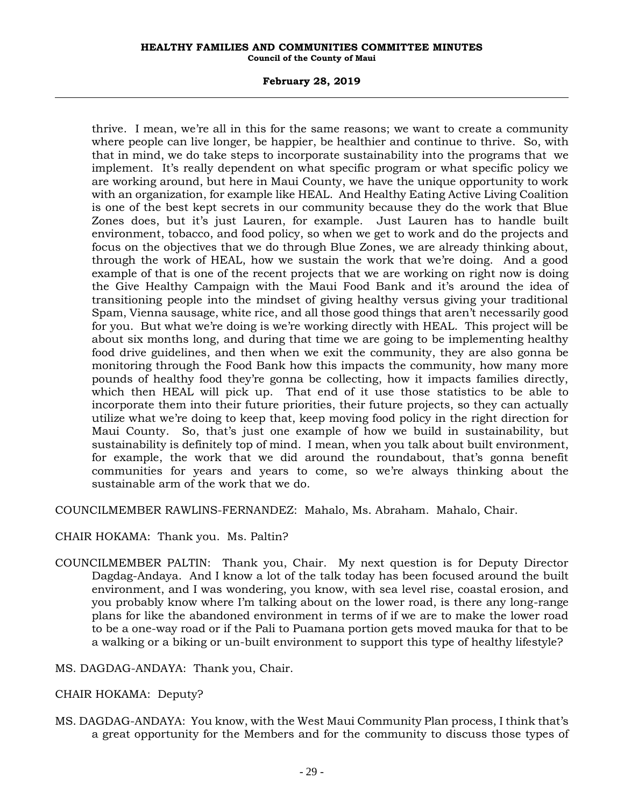### **February 28, 2019**

thrive. I mean, we're all in this for the same reasons; we want to create a community where people can live longer, be happier, be healthier and continue to thrive. So, with that in mind, we do take steps to incorporate sustainability into the programs that we implement. It's really dependent on what specific program or what specific policy we are working around, but here in Maui County, we have the unique opportunity to work with an organization, for example like HEAL. And Healthy Eating Active Living Coalition is one of the best kept secrets in our community because they do the work that Blue Zones does, but it's just Lauren, for example. Just Lauren has to handle built environment, tobacco, and food policy, so when we get to work and do the projects and focus on the objectives that we do through Blue Zones, we are already thinking about, through the work of HEAL, how we sustain the work that we're doing. And a good example of that is one of the recent projects that we are working on right now is doing the Give Healthy Campaign with the Maui Food Bank and it's around the idea of transitioning people into the mindset of giving healthy versus giving your traditional Spam, Vienna sausage, white rice, and all those good things that aren't necessarily good for you. But what we're doing is we're working directly with HEAL. This project will be about six months long, and during that time we are going to be implementing healthy food drive guidelines, and then when we exit the community, they are also gonna be monitoring through the Food Bank how this impacts the community, how many more pounds of healthy food they're gonna be collecting, how it impacts families directly, which then HEAL will pick up. That end of it use those statistics to be able to incorporate them into their future priorities, their future projects, so they can actually utilize what we're doing to keep that, keep moving food policy in the right direction for Maui County. So, that's just one example of how we build in sustainability, but sustainability is definitely top of mind. I mean, when you talk about built environment, for example, the work that we did around the roundabout, that's gonna benefit communities for years and years to come, so we're always thinking about the sustainable arm of the work that we do.

COUNCILMEMBER RAWLINS-FERNANDEZ: Mahalo, Ms. Abraham. Mahalo, Chair.

CHAIR HOKAMA: Thank you. Ms. Paltin?

COUNCILMEMBER PALTIN: Thank you, Chair. My next question is for Deputy Director Dagdag-Andaya. And I know a lot of the talk today has been focused around the built environment, and I was wondering, you know, with sea level rise, coastal erosion, and you probably know where I'm talking about on the lower road, is there any long-range plans for like the abandoned environment in terms of if we are to make the lower road to be a one-way road or if the Pali to Puamana portion gets moved mauka for that to be a walking or a biking or un-built environment to support this type of healthy lifestyle?

MS. DAGDAG-ANDAYA: Thank you, Chair.

# CHAIR HOKAMA: Deputy?

MS. DAGDAG-ANDAYA: You know, with the West Maui Community Plan process, I think that's a great opportunity for the Members and for the community to discuss those types of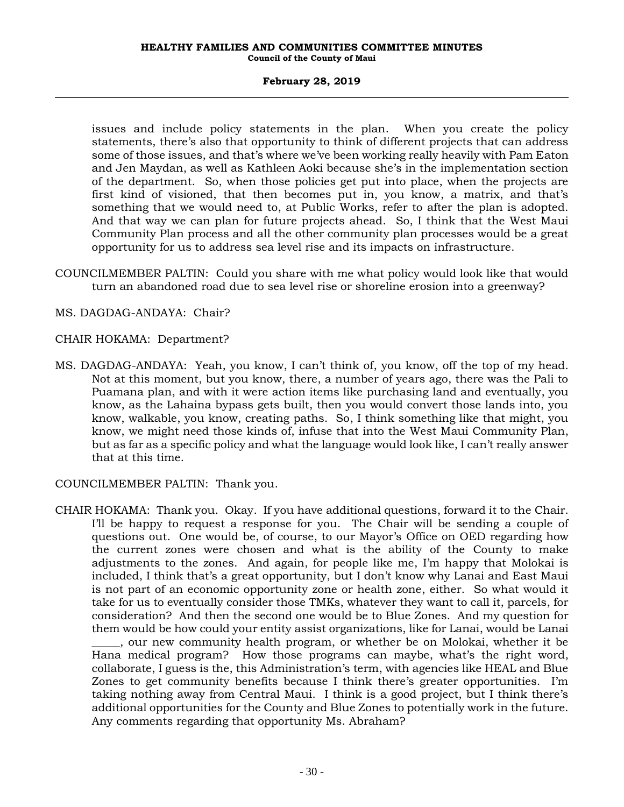issues and include policy statements in the plan. When you create the policy statements, there's also that opportunity to think of different projects that can address some of those issues, and that's where we've been working really heavily with Pam Eaton and Jen Maydan, as well as Kathleen Aoki because she's in the implementation section of the department. So, when those policies get put into place, when the projects are first kind of visioned, that then becomes put in, you know, a matrix, and that's something that we would need to, at Public Works, refer to after the plan is adopted. And that way we can plan for future projects ahead. So, I think that the West Maui Community Plan process and all the other community plan processes would be a great opportunity for us to address sea level rise and its impacts on infrastructure.

- COUNCILMEMBER PALTIN: Could you share with me what policy would look like that would turn an abandoned road due to sea level rise or shoreline erosion into a greenway?
- MS. DAGDAG-ANDAYA: Chair?
- CHAIR HOKAMA: Department?
- MS. DAGDAG-ANDAYA: Yeah, you know, I can't think of, you know, off the top of my head. Not at this moment, but you know, there, a number of years ago, there was the Pali to Puamana plan, and with it were action items like purchasing land and eventually, you know, as the Lahaina bypass gets built, then you would convert those lands into, you know, walkable, you know, creating paths. So, I think something like that might, you know, we might need those kinds of, infuse that into the West Maui Community Plan, but as far as a specific policy and what the language would look like, I can't really answer that at this time.

COUNCILMEMBER PALTIN: Thank you.

CHAIR HOKAMA: Thank you. Okay. If you have additional questions, forward it to the Chair. I'll be happy to request a response for you. The Chair will be sending a couple of questions out. One would be, of course, to our Mayor's Office on OED regarding how the current zones were chosen and what is the ability of the County to make adjustments to the zones. And again, for people like me, I'm happy that Molokai is included, I think that's a great opportunity, but I don't know why Lanai and East Maui is not part of an economic opportunity zone or health zone, either. So what would it take for us to eventually consider those TMKs, whatever they want to call it, parcels, for consideration? And then the second one would be to Blue Zones. And my question for them would be how could your entity assist organizations, like for Lanai, would be Lanai \_\_\_\_\_, our new community health program, or whether be on Molokai, whether it be Hana medical program? How those programs can maybe, what's the right word, collaborate, I guess is the, this Administration's term, with agencies like HEAL and Blue Zones to get community benefits because I think there's greater opportunities. I'm taking nothing away from Central Maui. I think is a good project, but I think there's additional opportunities for the County and Blue Zones to potentially work in the future. Any comments regarding that opportunity Ms. Abraham?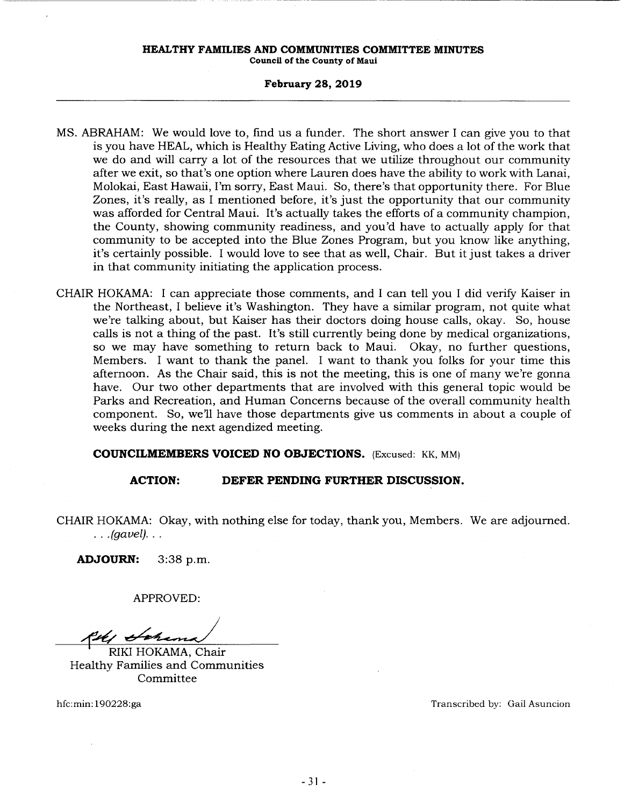#### **HEALTHY FAMILIES AND COMMUNITIES COMMITTEE MINUTES**

**Council of the County of Maui** 

### **February 28, 2019**

- MS. ABRAHAM: We would love to, find us a funder. The short answer I can give you to that is you have HEAL, which is Healthy Eating Active Living, who does a lot of the work that we do and will carry a lot of the resources that we utilize throughout our community after we exit, so that's one option where Lauren does have the ability to work with Lanai, Molokai, East Hawaii, I'm sorry, East Maui. So, there's that opportunity there. For Blue Zones, it's really, as I mentioned before, it's just the opportunity that our community was afforded for Central Maui. It's actually takes the efforts of a community champion, the County, showing community readiness, and you'd have to actually apply for that community to be accepted into the Blue Zones Program, but you know like anything, it's certainly possible. I would love to see that as well, Chair. But it just takes a driver in that community initiating the application process.
- CHAIR HOKAMA: I can appreciate those comments, and I can tell you I did verify Kaiser in the Northeast, I believe it's Washington. They have a similar program, not quite what we're talking about, but Kaiser has their doctors doing house calls, okay. So, house calls is not a thing of the past. It's still currently being done by medical organizations, so we may have something to return back to Maui. Okay, no further questions, Members. I want to thank the panel. I want to thank you folks for your time this afternoon. As the Chair said, this is not the meeting, this is one of many we're gonna have. Our two other departments that are involved with this general topic would be Parks and Recreation, and Human Concerns because of the overall community health component. So, we11 have those departments give us comments in about a couple of weeks during the next agendized meeting.

**COUNCILMEMBERS VOICED NO OBJECTIONS.** (Excused: KK, MM)

# **ACTION: DEFER PENDING FURTHER DISCUSSION.**

CHAIR HOKAMA: Okay, with nothing else for today, thank you, Members. We are adjourned .  $\ldots$  (gavel)...

**ADJOURN:** 3:38 p.m.

APPROVED:

Kell Schama

RIKI HOKAMA, Chair Healthy Families and Communities Committee

hfc:min: 190228:ga Transcribed by: Gail Asuncion